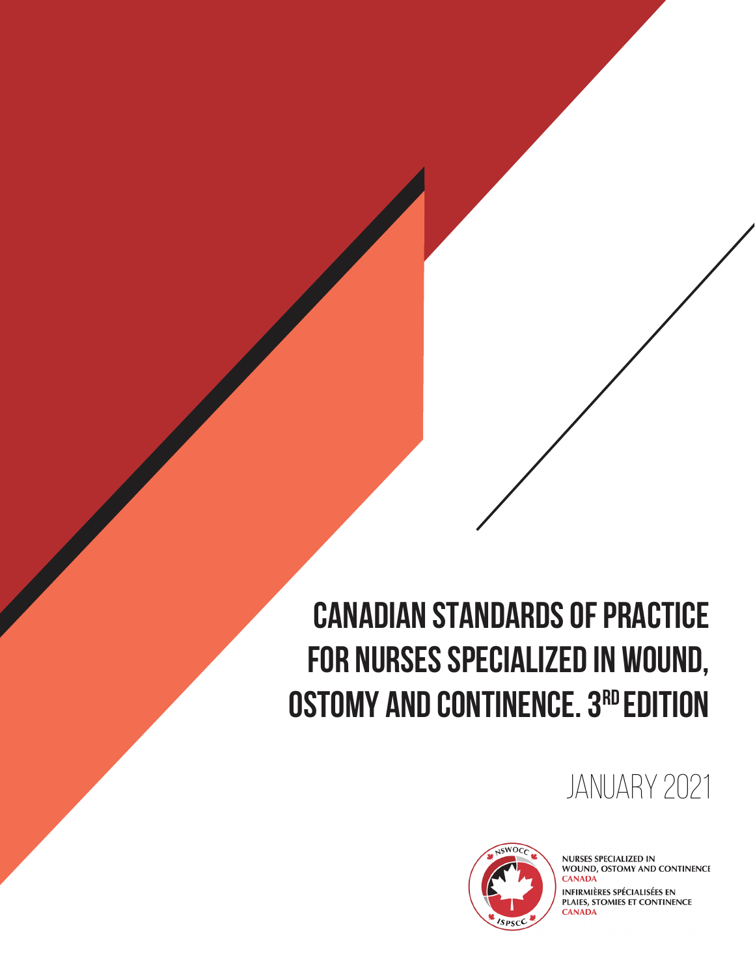### **CANADIAN STANDARDS OF PRACTICE FOR NURSES SPECIALIZED IN WOUND, OSTOMY AND CONTINENCE. 3RD EDITION**

### JANUARY 2021



**NURSES SPECIALIZED IN** WOUND, OSTOMY AND CONTINENCE **CANADA** 

**INFIRMIÈRES SPÉCIALISÉES EN** PLAIES, STOMIES ET CONTINENCE **CANADA**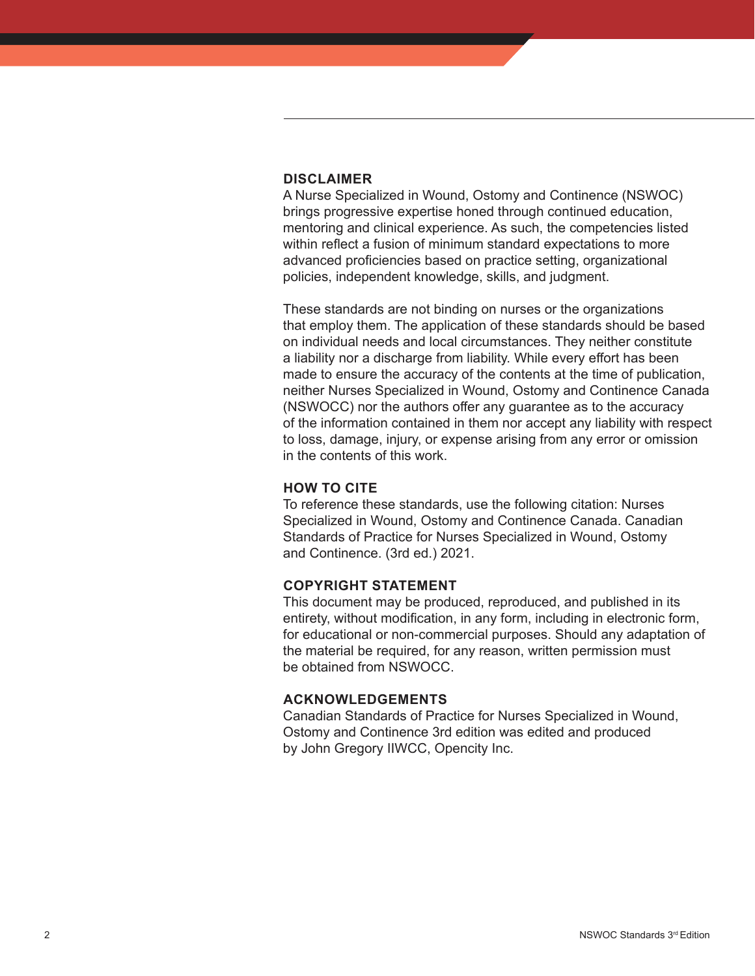#### **DISCLAIMER**

A Nurse Specialized in Wound, Ostomy and Continence (NSWOC) brings progressive expertise honed through continued education, mentoring and clinical experience. As such, the competencies listed within reflect a fusion of minimum standard expectations to more advanced proficiencies based on practice setting, organizational policies, independent knowledge, skills, and judgment.

These standards are not binding on nurses or the organizations that employ them. The application of these standards should be based on individual needs and local circumstances. They neither constitute a liability nor a discharge from liability. While every effort has been made to ensure the accuracy of the contents at the time of publication, neither Nurses Specialized in Wound, Ostomy and Continence Canada (NSWOCC) nor the authors offer any guarantee as to the accuracy of the information contained in them nor accept any liability with respect to loss, damage, injury, or expense arising from any error or omission in the contents of this work.

### **HOW TO CITE**

To reference these standards, use the following citation: Nurses Specialized in Wound, Ostomy and Continence Canada. Canadian Standards of Practice for Nurses Specialized in Wound, Ostomy and Continence. (3rd ed.) 2021.

#### **COPYRIGHT STATEMENT**

This document may be produced, reproduced, and published in its entirety, without modification, in any form, including in electronic form, for educational or non-commercial purposes. Should any adaptation of the material be required, for any reason, written permission must be obtained from NSWOCC.

### **ACKNOWLEDGEMENTS**

Canadian Standards of Practice for Nurses Specialized in Wound, Ostomy and Continence 3rd edition was edited and produced by John Gregory IIWCC, Opencity Inc.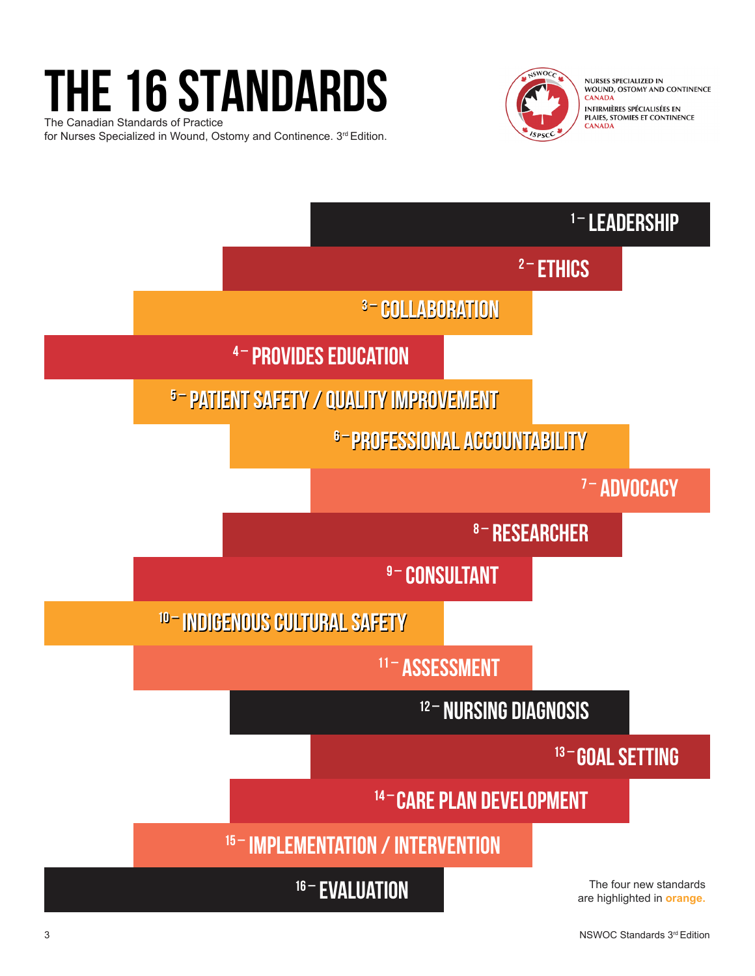# **the 16 STANDARDS**

The Canadian Standards of Practice for Nurses Specialized in Wound, Ostomy and Continence. 3rd Edition.



NURSES SPECIALIZED IN<br>WOUND, OSTOMY AND CONTINENCE **CANADA** INFIRMIÈRES SPÉCIALISÉES EN<br>PLAIES, STOMIES ET CONTINENCE **CANADA** 

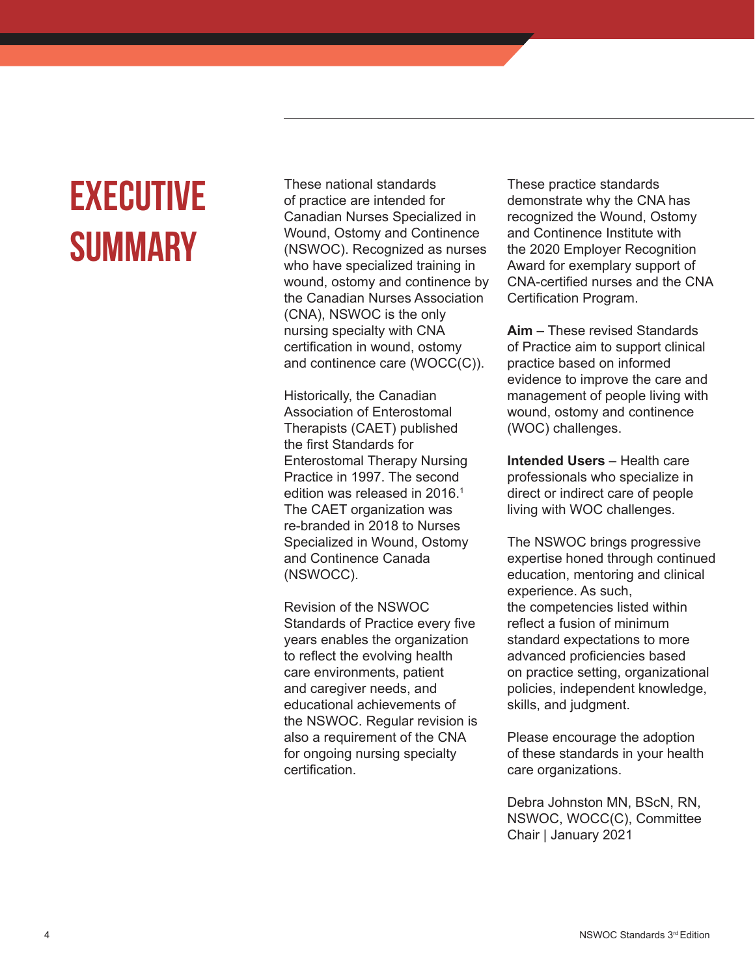### **Executive Summary**

These national standards of practice are intended for Canadian Nurses Specialized in Wound, Ostomy and Continence (NSWOC). Recognized as nurses who have specialized training in wound, ostomy and continence by the Canadian Nurses Association (CNA), NSWOC is the only nursing specialty with CNA certification in wound, ostomy and continence care (WOCC(C)).

Historically, the Canadian Association of Enterostomal Therapists (CAET) published the first Standards for Enterostomal Therapy Nursing Practice in 1997. The second edition was released in 2016.<sup>1</sup> The CAET organization was re-branded in 2018 to Nurses Specialized in Wound, Ostomy and Continence Canada (NSWOCC).

Revision of the NSWOC Standards of Practice every five years enables the organization to reflect the evolving health care environments, patient and caregiver needs, and educational achievements of the NSWOC. Regular revision is also a requirement of the CNA for ongoing nursing specialty certification.

These practice standards demonstrate why the CNA has recognized the Wound, Ostomy and Continence Institute with the 2020 Employer Recognition Award for exemplary support of CNA-certified nurses and the CNA Certification Program.

**Aim** – These revised Standards of Practice aim to support clinical practice based on informed evidence to improve the care and management of people living with wound, ostomy and continence (WOC) challenges.

**Intended Users** – Health care professionals who specialize in direct or indirect care of people living with WOC challenges.

The NSWOC brings progressive expertise honed through continued education, mentoring and clinical experience. As such, the competencies listed within reflect a fusion of minimum standard expectations to more advanced proficiencies based on practice setting, organizational policies, independent knowledge, skills, and judgment.

Please encourage the adoption of these standards in your health care organizations.

Debra Johnston MN, BScN, RN, NSWOC, WOCC(C), Committee Chair | January 2021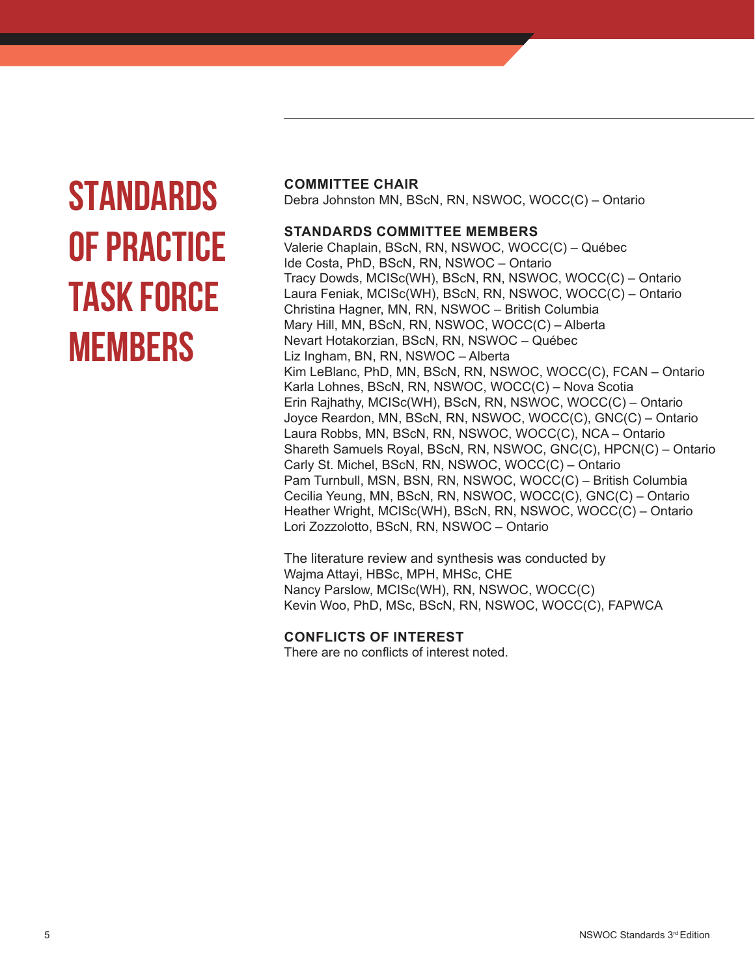# **STANDARDS OF PRACTICE TASK FORCE MEMBERS**

#### **COMMITTEE CHAIR**

Debra Johnston MN, BScN, RN, NSWOC, WOCC(C) – Ontario

### **STANDARDS COMMITTEE MEMBERS**

Valerie Chaplain, BScN, RN, NSWOC, WOCC(C) – Québec Ide Costa, PhD, BScN, RN, NSWOC – Ontario Tracy Dowds, MCISc(WH), BScN, RN, NSWOC, WOCC(C) – Ontario Laura Feniak, MCISc(WH), BScN, RN, NSWOC, WOCC(C) – Ontario Christina Hagner, MN, RN, NSWOC – British Columbia Mary Hill, MN, BScN, RN, NSWOC, WOCC(C) – Alberta Nevart Hotakorzian, BScN, RN, NSWOC – Québec Liz Ingham, BN, RN, NSWOC – Alberta Kim LeBlanc, PhD, MN, BScN, RN, NSWOC, WOCC(C), FCAN – Ontario Karla Lohnes, BScN, RN, NSWOC, WOCC(C) – Nova Scotia Erin Rajhathy, MCISc(WH), BScN, RN, NSWOC, WOCC(C) – Ontario Joyce Reardon, MN, BScN, RN, NSWOC, WOCC(C), GNC(C) – Ontario Laura Robbs, MN, BScN, RN, NSWOC, WOCC(C), NCA – Ontario Shareth Samuels Royal, BScN, RN, NSWOC, GNC(C), HPCN(C) – Ontario Carly St. Michel, BScN, RN, NSWOC, WOCC(C) – Ontario Pam Turnbull, MSN, BSN, RN, NSWOC, WOCC(C) – British Columbia Cecilia Yeung, MN, BScN, RN, NSWOC, WOCC(C), GNC(C) – Ontario Heather Wright, MCISc(WH), BScN, RN, NSWOC, WOCC(C) – Ontario Lori Zozzolotto, BScN, RN, NSWOC – Ontario

The literature review and synthesis was conducted by Wajma Attayi, HBSc, MPH, MHSc, CHE Nancy Parslow, MCISc(WH), RN, NSWOC, WOCC(C) Kevin Woo, PhD, MSc, BScN, RN, NSWOC, WOCC(C), FAPWCA

### **CONFLICTS OF INTEREST**

There are no conflicts of interest noted.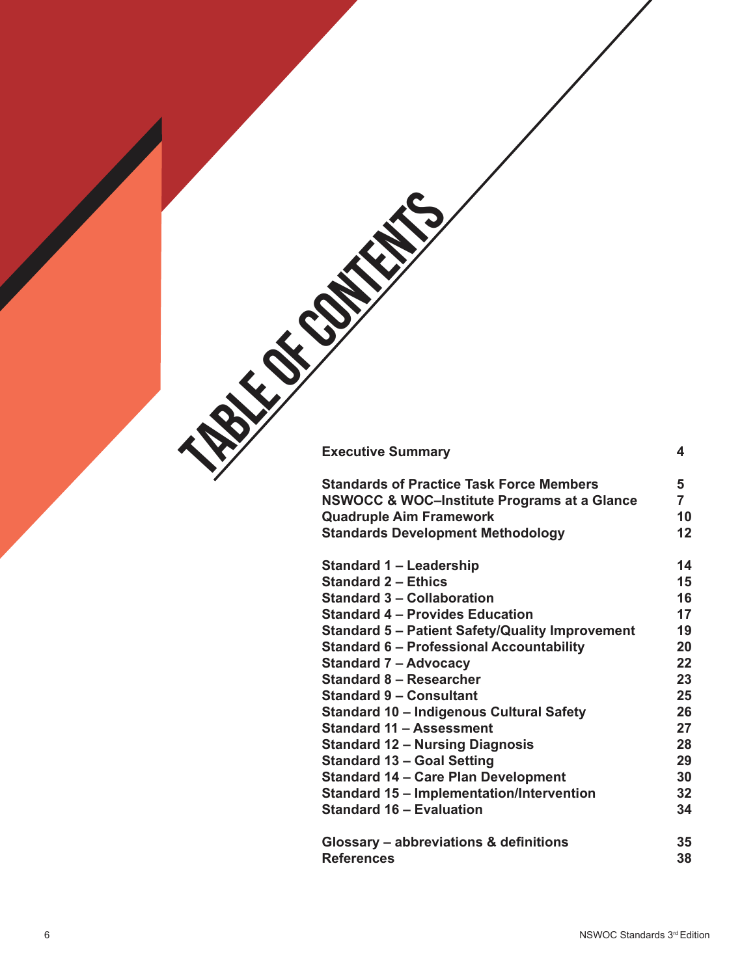| <b>Executive Summary</b>                               | 4              |  |  |  |
|--------------------------------------------------------|----------------|--|--|--|
|                                                        |                |  |  |  |
| <b>Standards of Practice Task Force Members</b>        | 5              |  |  |  |
| <b>NSWOCC &amp; WOC-Institute Programs at a Glance</b> | $\overline{7}$ |  |  |  |
| <b>Quadruple Aim Framework</b>                         | 10             |  |  |  |
| <b>Standards Development Methodology</b>               | 12             |  |  |  |
|                                                        |                |  |  |  |
| <b>Standard 1 - Leadership</b>                         | 14             |  |  |  |
| <b>Standard 2 - Ethics</b>                             | 15             |  |  |  |
| <b>Standard 3 - Collaboration</b>                      | 16             |  |  |  |
| <b>Standard 4 - Provides Education</b>                 | 17             |  |  |  |
| <b>Standard 5 - Patient Safety/Quality Improvement</b> | 19             |  |  |  |
| <b>Standard 6 - Professional Accountability</b>        | 20             |  |  |  |
| <b>Standard 7 - Advocacy</b>                           | 22             |  |  |  |
| <b>Standard 8 - Researcher</b>                         | 23             |  |  |  |
| <b>Standard 9 - Consultant</b>                         | 25             |  |  |  |
| <b>Standard 10 - Indigenous Cultural Safety</b>        | 26             |  |  |  |
| <b>Standard 11 - Assessment</b>                        | 27             |  |  |  |
| <b>Standard 12 - Nursing Diagnosis</b>                 | 28             |  |  |  |
| <b>Standard 13 - Goal Setting</b>                      | 29             |  |  |  |
| <b>Standard 14 - Care Plan Development</b>             | 30             |  |  |  |
| <b>Standard 15 - Implementation/Intervention</b>       | 32             |  |  |  |
| <b>Standard 16 - Evaluation</b>                        | 34             |  |  |  |
|                                                        |                |  |  |  |
| Glossary - abbreviations & definitions                 | 35             |  |  |  |
| <b>References</b>                                      | 38             |  |  |  |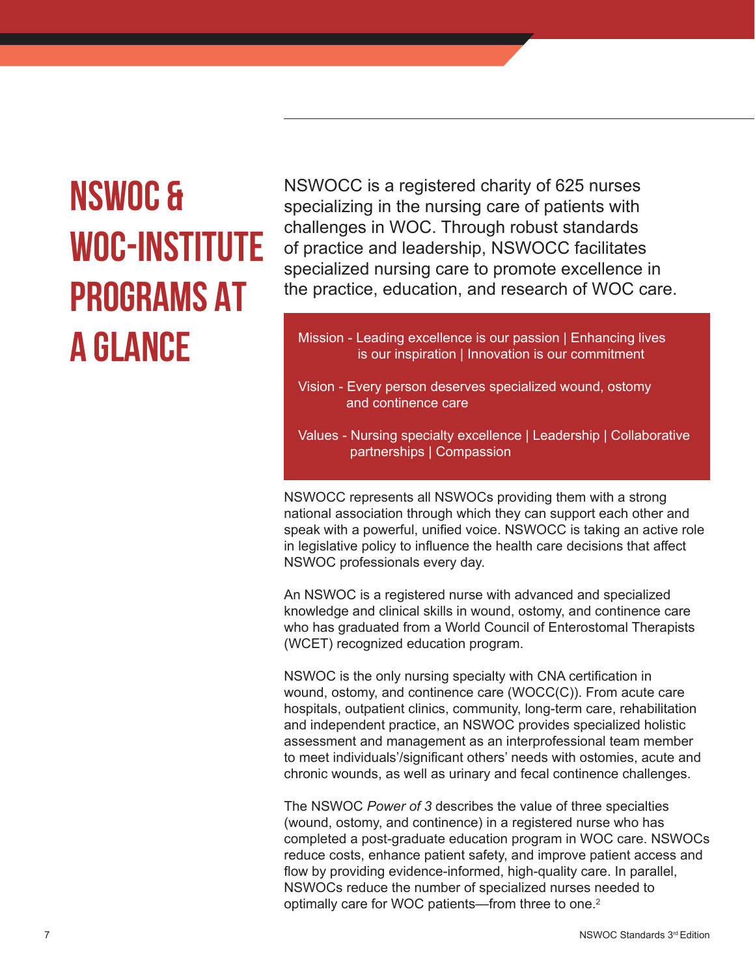### **NSWOC & WOC-INSTITUTE PROGRAMS AT A GLANCE**

NSWOCC is a registered charity of 625 nurses specializing in the nursing care of patients with challenges in WOC. Through robust standards of practice and leadership, NSWOCC facilitates specialized nursing care to promote excellence in the practice, education, and research of WOC care.

Mission - Leading excellence is our passion | Enhancing lives is our inspiration | Innovation is our commitment

- Vision Every person deserves specialized wound, ostomy and continence care
- Values Nursing specialty excellence | Leadership | Collaborative partnerships | Compassion

NSWOCC represents all NSWOCs providing them with a strong national association through which they can support each other and speak with a powerful, unified voice. NSWOCC is taking an active role in legislative policy to influence the health care decisions that affect NSWOC professionals every day.

An NSWOC is a registered nurse with advanced and specialized knowledge and clinical skills in wound, ostomy, and continence care who has graduated from a World Council of Enterostomal Therapists (WCET) recognized education program.

NSWOC is the only nursing specialty with CNA certification in wound, ostomy, and continence care (WOCC(C)). From acute care hospitals, outpatient clinics, community, long-term care, rehabilitation and independent practice, an NSWOC provides specialized holistic assessment and management as an interprofessional team member to meet individuals'/significant others' needs with ostomies, acute and chronic wounds, as well as urinary and fecal continence challenges.

The NSWOC *Power of 3* describes the value of three specialties (wound, ostomy, and continence) in a registered nurse who has completed a post-graduate education program in WOC care. NSWOCs reduce costs, enhance patient safety, and improve patient access and flow by providing evidence-informed, high-quality care. In parallel, NSWOCs reduce the number of specialized nurses needed to optimally care for WOC patients—from three to one.<sup>2</sup>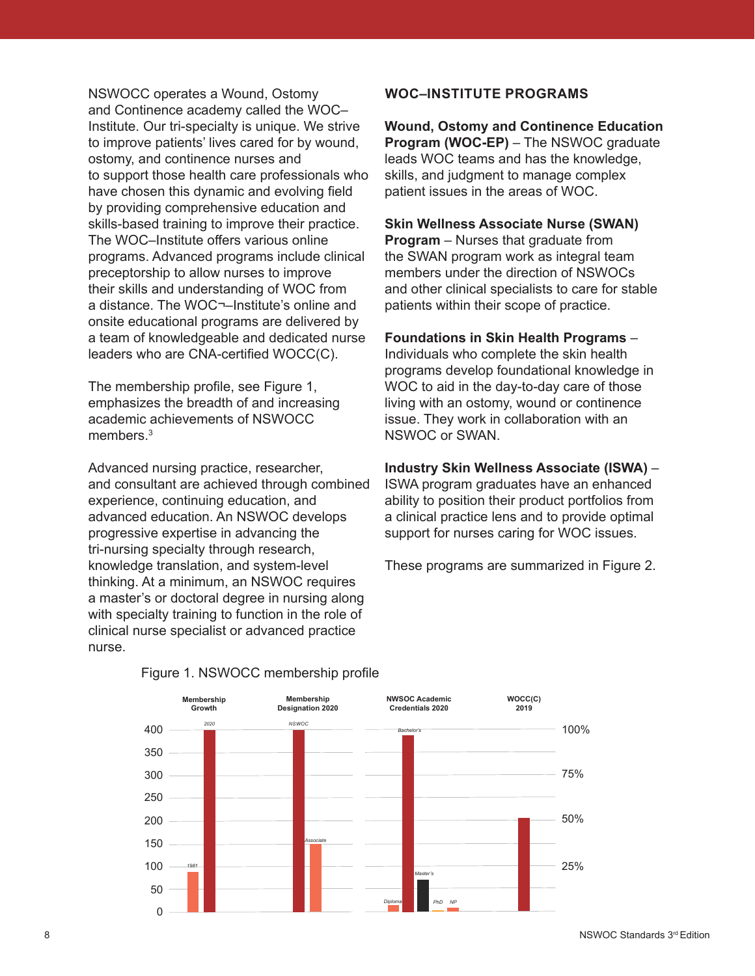NSWOCC operates a Wound, Ostomy and Continence academy called the WOC– Institute. Our tri-specialty is unique. We strive to improve patients' lives cared for by wound, ostomy, and continence nurses and to support those health care professionals who have chosen this dynamic and evolving field by providing comprehensive education and skills-based training to improve their practice. The WOC–Institute offers various online programs. Advanced programs include clinical preceptorship to allow nurses to improve their skills and understanding of WOC from a distance. The WOC¬–Institute's online and onsite educational programs are delivered by a team of knowledgeable and dedicated nurse leaders who are CNA-certified WOCC(C).

The membership profile, see Figure 1, emphasizes the breadth of and increasing academic achievements of NSWOCC members $3$ 

Advanced nursing practice, researcher, and consultant are achieved through combined experience, continuing education, and advanced education. An NSWOC develops progressive expertise in advancing the tri-nursing specialty through research, knowledge translation, and system-level thinking. At a minimum, an NSWOC requires a master's or doctoral degree in nursing along with specialty training to function in the role of clinical nurse specialist or advanced practice nurse.

### **WOC–INSTITUTE PROGRAMS**

**Wound, Ostomy and Continence Education Program (WOC-EP)** – The NSWOC graduate leads WOC teams and has the knowledge, skills, and judgment to manage complex patient issues in the areas of WOC.

#### **Skin Wellness Associate Nurse (SWAN)**

**Program** – Nurses that graduate from the SWAN program work as integral team members under the direction of NSWOCs and other clinical specialists to care for stable patients within their scope of practice.

#### **Foundations in Skin Health Programs** –

Individuals who complete the skin health programs develop foundational knowledge in WOC to aid in the day-to-day care of those living with an ostomy, wound or continence issue. They work in collaboration with an NSWOC or SWAN.

#### **Industry Skin Wellness Associate (ISWA)** –

ISWA program graduates have an enhanced ability to position their product portfolios from a clinical practice lens and to provide optimal support for nurses caring for WOC issues.

These programs are summarized in Figure 2.



#### Figure 1. NSWOCC membership profile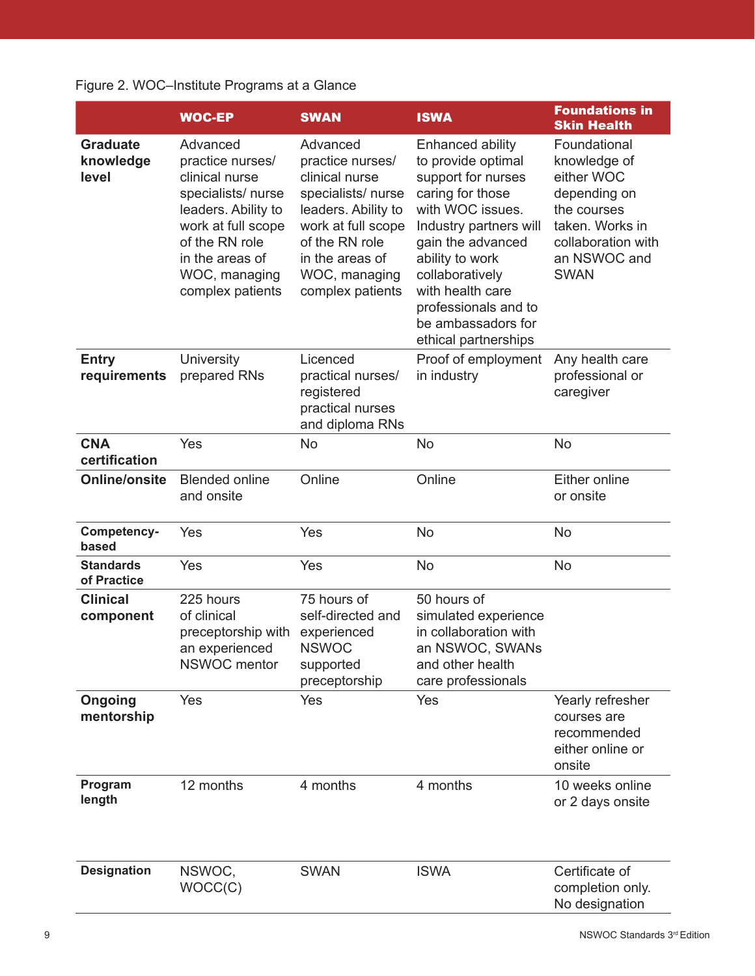### Figure 2. WOC–Institute Programs at a Glance

|                                       | <b>WOC-EP</b>                                                                                                                                                                              | <b>SWAN</b>                                                                                                                                                                                | <b>ISWA</b>                                                                                                                                                                                                                                                                         | <b>Foundations in</b><br><b>Skin Health</b>                                                                                                       |
|---------------------------------------|--------------------------------------------------------------------------------------------------------------------------------------------------------------------------------------------|--------------------------------------------------------------------------------------------------------------------------------------------------------------------------------------------|-------------------------------------------------------------------------------------------------------------------------------------------------------------------------------------------------------------------------------------------------------------------------------------|---------------------------------------------------------------------------------------------------------------------------------------------------|
| <b>Graduate</b><br>knowledge<br>level | Advanced<br>practice nurses/<br>clinical nurse<br>specialists/nurse<br>leaders. Ability to<br>work at full scope<br>of the RN role<br>in the areas of<br>WOC, managing<br>complex patients | Advanced<br>practice nurses/<br>clinical nurse<br>specialists/nurse<br>leaders. Ability to<br>work at full scope<br>of the RN role<br>in the areas of<br>WOC, managing<br>complex patients | Enhanced ability<br>to provide optimal<br>support for nurses<br>caring for those<br>with WOC issues.<br>Industry partners will<br>gain the advanced<br>ability to work<br>collaboratively<br>with health care<br>professionals and to<br>be ambassadors for<br>ethical partnerships | Foundational<br>knowledge of<br>either WOC<br>depending on<br>the courses<br>taken. Works in<br>collaboration with<br>an NSWOC and<br><b>SWAN</b> |
| <b>Entry</b><br>requirements          | University<br>prepared RNs                                                                                                                                                                 | Licenced<br>practical nurses/<br>registered<br>practical nurses<br>and diploma RNs                                                                                                         | Proof of employment<br>in industry                                                                                                                                                                                                                                                  | Any health care<br>professional or<br>caregiver                                                                                                   |
| <b>CNA</b><br>certification           | Yes                                                                                                                                                                                        | No                                                                                                                                                                                         | <b>No</b>                                                                                                                                                                                                                                                                           | No                                                                                                                                                |
| <b>Online/onsite</b>                  | <b>Blended online</b><br>and onsite                                                                                                                                                        | Online                                                                                                                                                                                     | Online                                                                                                                                                                                                                                                                              | Either online<br>or onsite                                                                                                                        |
| Competency-<br>based                  | Yes                                                                                                                                                                                        | Yes                                                                                                                                                                                        | <b>No</b>                                                                                                                                                                                                                                                                           | No                                                                                                                                                |
| <b>Standards</b><br>of Practice       | Yes                                                                                                                                                                                        | Yes                                                                                                                                                                                        | No                                                                                                                                                                                                                                                                                  | No                                                                                                                                                |
| <b>Clinical</b><br>component          | 225 hours<br>of clinical<br>preceptorship with<br>an experienced<br><b>NSWOC</b> mentor                                                                                                    | 75 hours of<br>self-directed and<br>experienced<br><b>NSWOC</b><br>supported<br>preceptorship                                                                                              | 50 hours of<br>simulated experience<br>in collaboration with<br>an NSWOC, SWANs<br>and other health<br>care professionals                                                                                                                                                           |                                                                                                                                                   |
| Ongoing<br>mentorship                 | Yes                                                                                                                                                                                        | Yes                                                                                                                                                                                        | Yes                                                                                                                                                                                                                                                                                 | Yearly refresher<br>courses are<br>recommended<br>either online or<br>onsite                                                                      |
| Program<br>length                     | 12 months                                                                                                                                                                                  | 4 months                                                                                                                                                                                   | 4 months                                                                                                                                                                                                                                                                            | 10 weeks online<br>or 2 days onsite                                                                                                               |
| <b>Designation</b>                    | NSWOC,<br>WOCC(C)                                                                                                                                                                          | <b>SWAN</b>                                                                                                                                                                                | <b>ISWA</b>                                                                                                                                                                                                                                                                         | Certificate of<br>completion only.<br>No designation                                                                                              |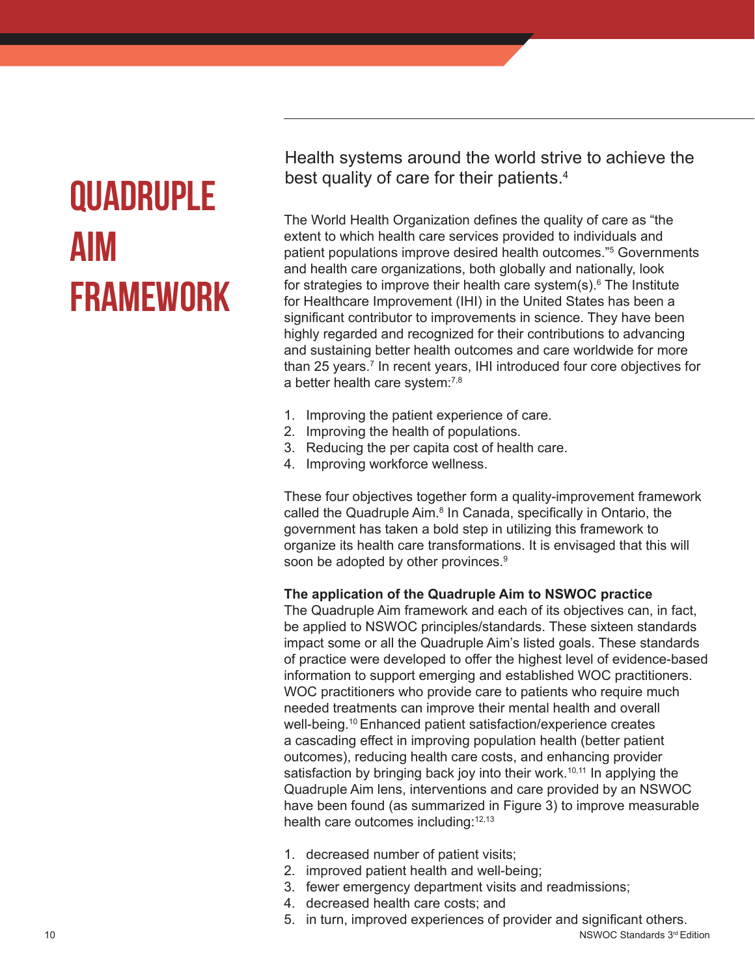### **Quadruple Aim Framework**

Health systems around the world strive to achieve the best quality of care for their patients.<sup>4</sup>

The World Health Organization defines the quality of care as "the extent to which health care services provided to individuals and patient populations improve desired health outcomes."5 Governments and health care organizations, both globally and nationally, look for strategies to improve their health care system(s).<sup>6</sup> The Institute for Healthcare Improvement (IHI) in the United States has been a significant contributor to improvements in science. They have been highly regarded and recognized for their contributions to advancing and sustaining better health outcomes and care worldwide for more than 25 years.<sup>7</sup> In recent years, IHI introduced four core objectives for a better health care system:7,8

- 1. Improving the patient experience of care.
- 2. Improving the health of populations.
- 3. Reducing the per capita cost of health care.
- 4. Improving workforce wellness.

These four objectives together form a quality-improvement framework called the Quadruple Aim.<sup>8</sup> In Canada, specifically in Ontario, the government has taken a bold step in utilizing this framework to organize its health care transformations. It is envisaged that this will soon be adopted by other provinces.<sup>9</sup>

#### **The application of the Quadruple Aim to NSWOC practice**

The Quadruple Aim framework and each of its objectives can, in fact, be applied to NSWOC principles/standards. These sixteen standards impact some or all the Quadruple Aim's listed goals. These standards of practice were developed to offer the highest level of evidence-based information to support emerging and established WOC practitioners. WOC practitioners who provide care to patients who require much needed treatments can improve their mental health and overall well-being.<sup>10</sup> Enhanced patient satisfaction/experience creates a cascading effect in improving population health (better patient outcomes), reducing health care costs, and enhancing provider satisfaction by bringing back joy into their work.<sup>10,11</sup> In applying the Quadruple Aim lens, interventions and care provided by an NSWOC have been found (as summarized in Figure 3) to improve measurable health care outcomes including: 12,13

- 1. decreased number of patient visits;
- 2. improved patient health and well-being;
- 3. fewer emergency department visits and readmissions;
- 4. decreased health care costs; and
- 5. in turn, improved experiences of provider and significant others.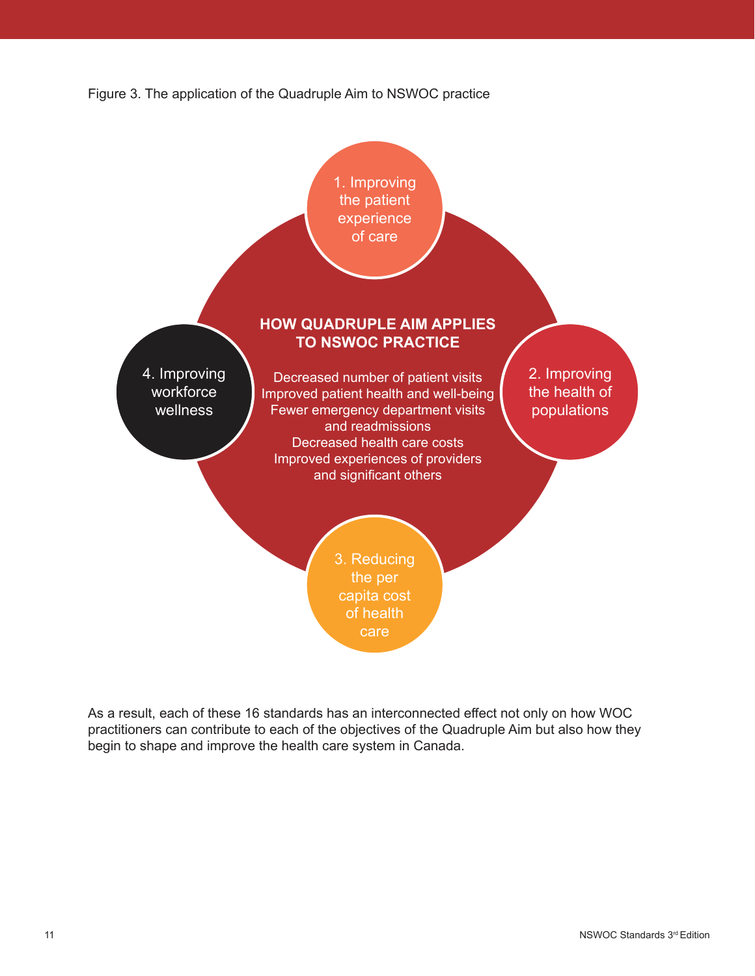



As a result, each of these 16 standards has an interconnected effect not only on how WOC practitioners can contribute to each of the objectives of the Quadruple Aim but also how they begin to shape and improve the health care system in Canada.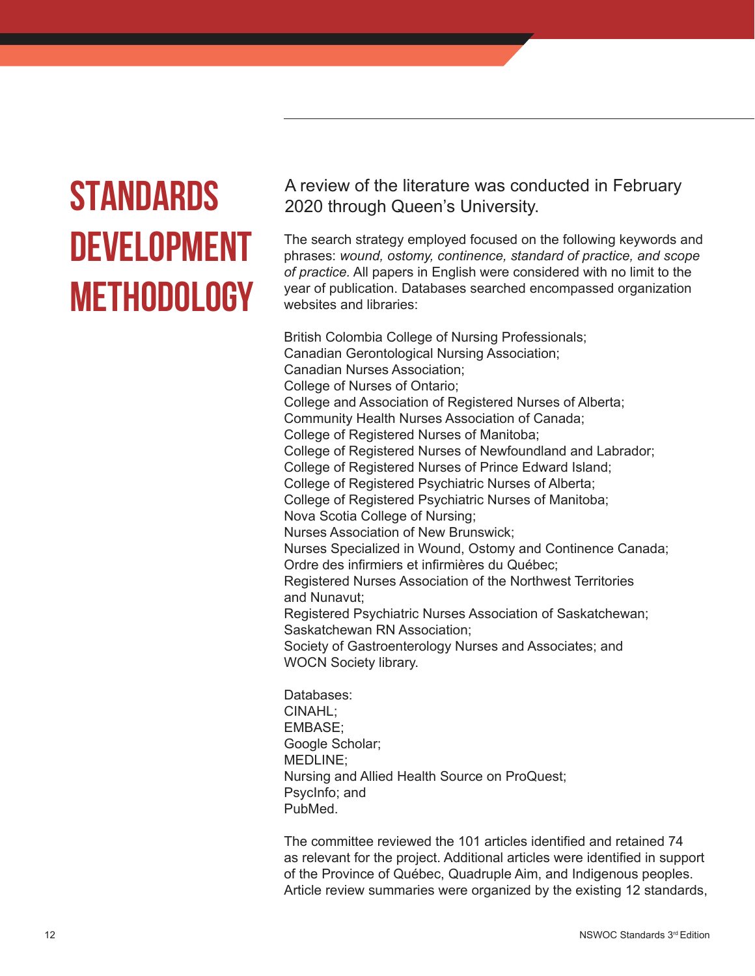### **STANDARDS DEVELOPMENT METHODOLOGY**

A review of the literature was conducted in February 2020 through Queen's University.

The search strategy employed focused on the following keywords and phrases: *wound, ostomy, continence, standard of practice, and scope of practice.* All papers in English were considered with no limit to the year of publication. Databases searched encompassed organization websites and libraries:

British Colombia College of Nursing Professionals; Canadian Gerontological Nursing Association; Canadian Nurses Association; College of Nurses of Ontario; College and Association of Registered Nurses of Alberta; Community Health Nurses Association of Canada; College of Registered Nurses of Manitoba; College of Registered Nurses of Newfoundland and Labrador; College of Registered Nurses of Prince Edward Island; College of Registered Psychiatric Nurses of Alberta; College of Registered Psychiatric Nurses of Manitoba; Nova Scotia College of Nursing; Nurses Association of New Brunswick; Nurses Specialized in Wound, Ostomy and Continence Canada; Ordre des infirmiers et infirmières du Québec; Registered Nurses Association of the Northwest Territories and Nunavut; Registered Psychiatric Nurses Association of Saskatchewan; Saskatchewan RN Association; Society of Gastroenterology Nurses and Associates; and WOCN Society library. Databases:

CINAHL; EMBASE; Google Scholar; MEDLINE; Nursing and Allied Health Source on ProQuest; PsycInfo; and PubMed.

The committee reviewed the 101 articles identified and retained 74 as relevant for the project. Additional articles were identified in support of the Province of Québec, Quadruple Aim, and Indigenous peoples. Article review summaries were organized by the existing 12 standards,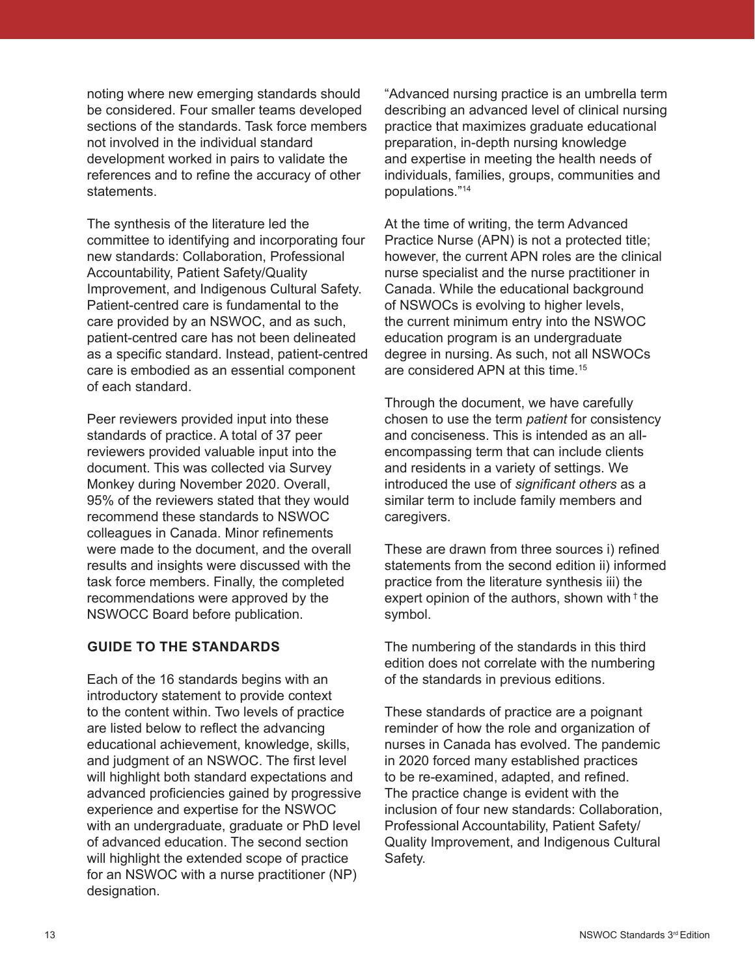noting where new emerging standards should be considered. Four smaller teams developed sections of the standards. Task force members not involved in the individual standard development worked in pairs to validate the references and to refine the accuracy of other **statements** 

The synthesis of the literature led the committee to identifying and incorporating four new standards: Collaboration, Professional Accountability, Patient Safety/Quality Improvement, and Indigenous Cultural Safety. Patient-centred care is fundamental to the care provided by an NSWOC, and as such, patient-centred care has not been delineated as a specific standard. Instead, patient-centred care is embodied as an essential component of each standard.

Peer reviewers provided input into these standards of practice. A total of 37 peer reviewers provided valuable input into the document. This was collected via Survey Monkey during November 2020. Overall, 95% of the reviewers stated that they would recommend these standards to NSWOC colleagues in Canada. Minor refinements were made to the document, and the overall results and insights were discussed with the task force members. Finally, the completed recommendations were approved by the NSWOCC Board before publication.

### **GUIDE TO THE STANDARDS**

Each of the 16 standards begins with an introductory statement to provide context to the content within. Two levels of practice are listed below to reflect the advancing educational achievement, knowledge, skills, and judgment of an NSWOC. The first level will highlight both standard expectations and advanced proficiencies gained by progressive experience and expertise for the NSWOC with an undergraduate, graduate or PhD level of advanced education. The second section will highlight the extended scope of practice for an NSWOC with a nurse practitioner (NP) designation.

"Advanced nursing practice is an umbrella term describing an advanced level of clinical nursing practice that maximizes graduate educational preparation, in-depth nursing knowledge and expertise in meeting the health needs of individuals, families, groups, communities and populations."14

At the time of writing, the term Advanced Practice Nurse (APN) is not a protected title; however, the current APN roles are the clinical nurse specialist and the nurse practitioner in Canada. While the educational background of NSWOCs is evolving to higher levels, the current minimum entry into the NSWOC education program is an undergraduate degree in nursing. As such, not all NSWOCs are considered APN at this time.<sup>15</sup>

Through the document, we have carefully chosen to use the term *patient* for consistency and conciseness. This is intended as an allencompassing term that can include clients and residents in a variety of settings. We introduced the use of *significant others* as a similar term to include family members and caregivers.

These are drawn from three sources i) refined statements from the second edition ii) informed practice from the literature synthesis iii) the expert opinion of the authors, shown with  $\dagger$  the symbol.

The numbering of the standards in this third edition does not correlate with the numbering of the standards in previous editions.

These standards of practice are a poignant reminder of how the role and organization of nurses in Canada has evolved. The pandemic in 2020 forced many established practices to be re-examined, adapted, and refined. The practice change is evident with the inclusion of four new standards: Collaboration, Professional Accountability, Patient Safety/ Quality Improvement, and Indigenous Cultural Safety.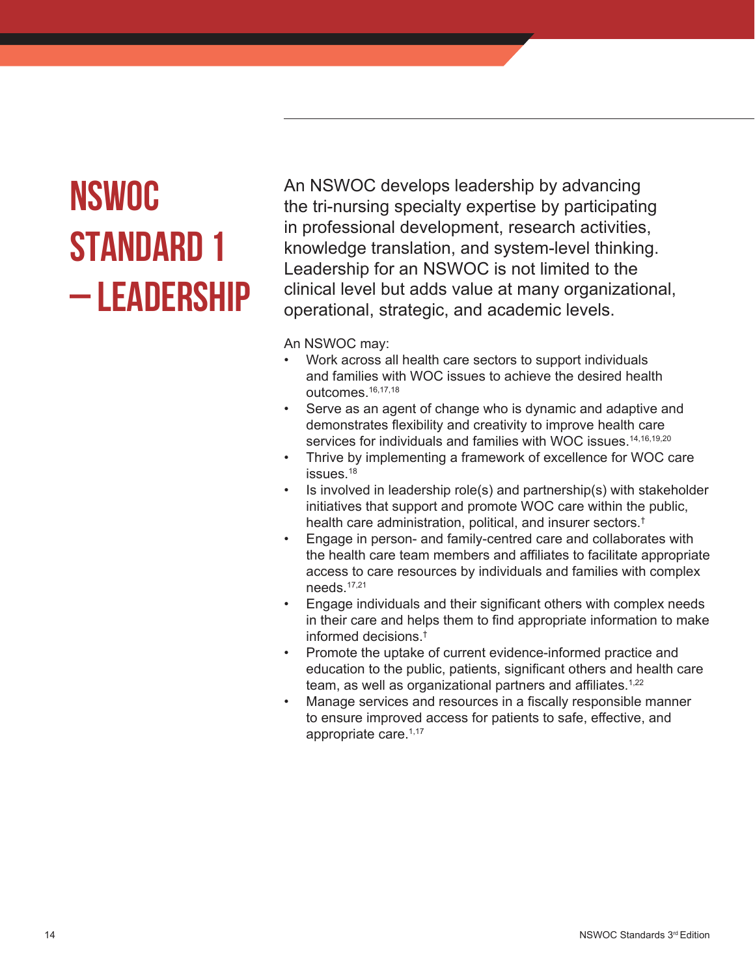# **NSWOC STANDARD 1 – LEADERSHIP**

An NSWOC develops leadership by advancing the tri-nursing specialty expertise by participating in professional development, research activities, knowledge translation, and system-level thinking. Leadership for an NSWOC is not limited to the clinical level but adds value at many organizational, operational, strategic, and academic levels.

- Work across all health care sectors to support individuals and families with WOC issues to achieve the desired health outcomes.16,17,18
- Serve as an agent of change who is dynamic and adaptive and demonstrates flexibility and creativity to improve health care services for individuals and families with WOC issues.<sup>14,16,19,20</sup>
- Thrive by implementing a framework of excellence for WOC care issues.<sup>18</sup>
- Is involved in leadership role(s) and partnership(s) with stakeholder initiatives that support and promote WOC care within the public, health care administration, political, and insurer sectors.†
- Engage in person- and family-centred care and collaborates with the health care team members and affiliates to facilitate appropriate access to care resources by individuals and families with complex needs.17,21
- Engage individuals and their significant others with complex needs in their care and helps them to find appropriate information to make informed decisions.†
- Promote the uptake of current evidence-informed practice and education to the public, patients, significant others and health care team, as well as organizational partners and affiliates.<sup>1,22</sup>
- Manage services and resources in a fiscally responsible manner to ensure improved access for patients to safe, effective, and appropriate care.1,17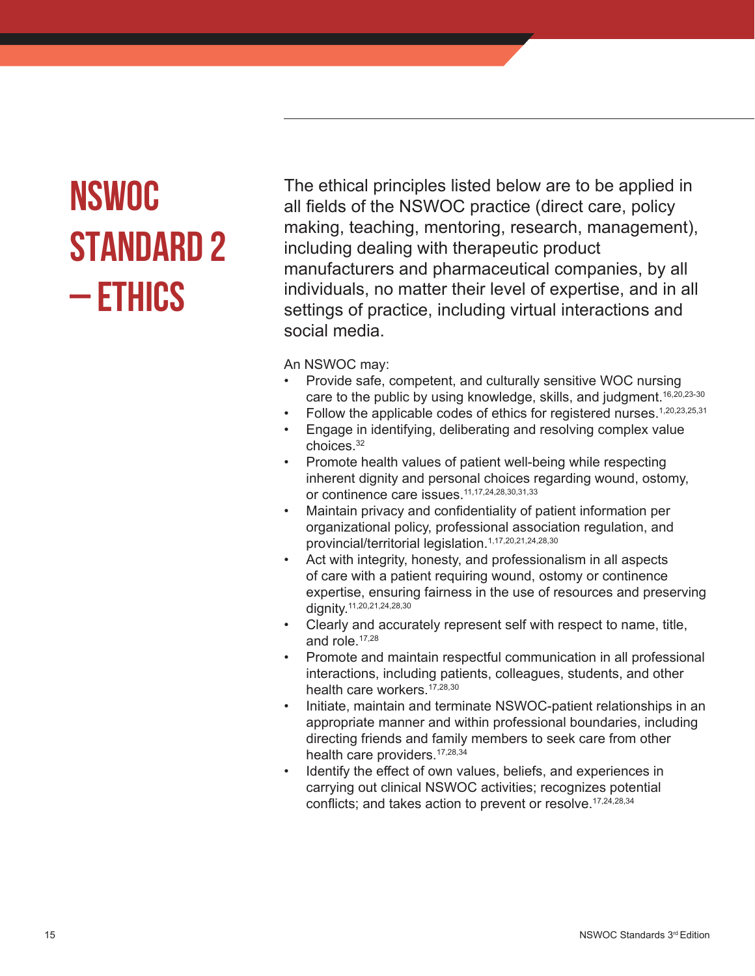# **NSWOC STANDARD 2 – ETHICS**

The ethical principles listed below are to be applied in all fields of the NSWOC practice (direct care, policy making, teaching, mentoring, research, management), including dealing with therapeutic product manufacturers and pharmaceutical companies, by all individuals, no matter their level of expertise, and in all settings of practice, including virtual interactions and social media.

- Provide safe, competent, and culturally sensitive WOC nursing care to the public by using knowledge, skills, and judgment.<sup>16,20,23-30</sup>
- Follow the applicable codes of ethics for registered nurses.<sup>1,20,23,25,31</sup>
- Engage in identifying, deliberating and resolving complex value choices.32
- Promote health values of patient well-being while respecting inherent dignity and personal choices regarding wound, ostomy, or continence care issues.11,17,24,28,30,31,33
- Maintain privacy and confidentiality of patient information per organizational policy, professional association regulation, and provincial/territorial legislation.1,17,20,21,24,28,30
- Act with integrity, honesty, and professionalism in all aspects of care with a patient requiring wound, ostomy or continence expertise, ensuring fairness in the use of resources and preserving dignity.<sup>11,20,21,24,28,30</sup>
- Clearly and accurately represent self with respect to name, title, and role.17,28
- Promote and maintain respectful communication in all professional interactions, including patients, colleagues, students, and other health care workers.<sup>17,28,30</sup>
- Initiate, maintain and terminate NSWOC-patient relationships in an appropriate manner and within professional boundaries, including directing friends and family members to seek care from other health care providers.<sup>17,28,34</sup>
- Identify the effect of own values, beliefs, and experiences in carrying out clinical NSWOC activities; recognizes potential conflicts; and takes action to prevent or resolve.<sup>17,24,28,34</sup>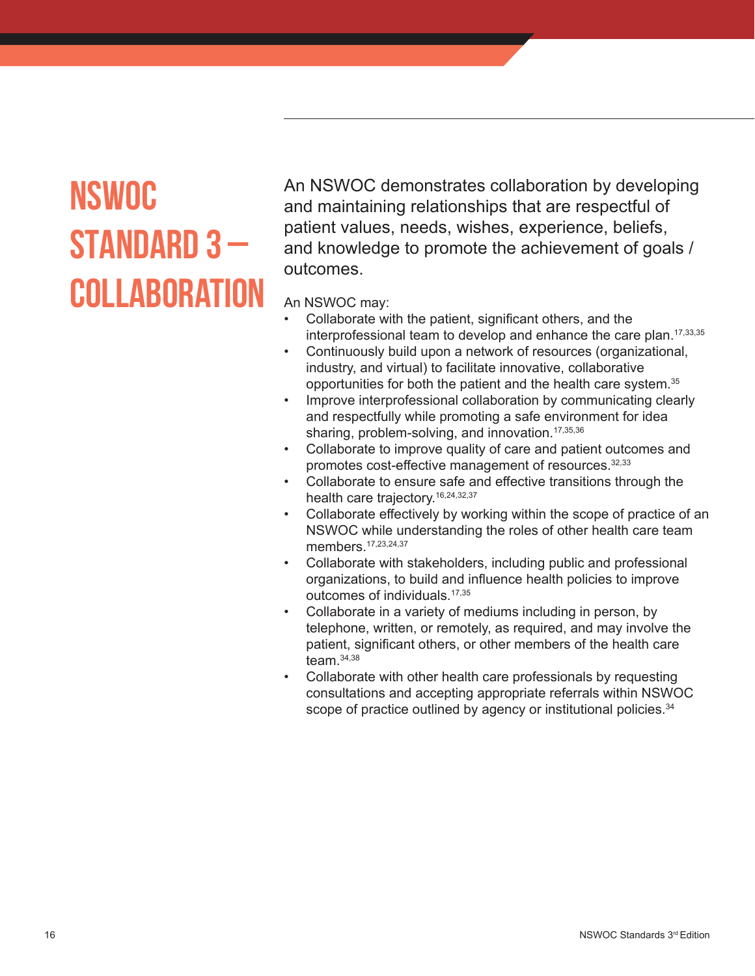### **NSWOC STANDARD 3 – COLLABORation**

An NSWOC demonstrates collaboration by developing and maintaining relationships that are respectful of patient values, needs, wishes, experience, beliefs, and knowledge to promote the achievement of goals / outcomes.

- Collaborate with the patient, significant others, and the interprofessional team to develop and enhance the care plan.<sup>17,33,35</sup>
- Continuously build upon a network of resources (organizational, industry, and virtual) to facilitate innovative, collaborative opportunities for both the patient and the health care system.<sup>35</sup>
- Improve interprofessional collaboration by communicating clearly and respectfully while promoting a safe environment for idea sharing, problem-solving, and innovation.<sup>17,35,36</sup>
- Collaborate to improve quality of care and patient outcomes and promotes cost-effective management of resources. 32,33
- Collaborate to ensure safe and effective transitions through the health care trajectory.<sup>16,24,32,37</sup>
- Collaborate effectively by working within the scope of practice of an NSWOC while understanding the roles of other health care team members. 17,23,24,37
- Collaborate with stakeholders, including public and professional organizations, to build and influence health policies to improve outcomes of individuals.17,35
- Collaborate in a variety of mediums including in person, by telephone, written, or remotely, as required, and may involve the patient, significant others, or other members of the health care team.34,38
- Collaborate with other health care professionals by requesting consultations and accepting appropriate referrals within NSWOC scope of practice outlined by agency or institutional policies.<sup>34</sup>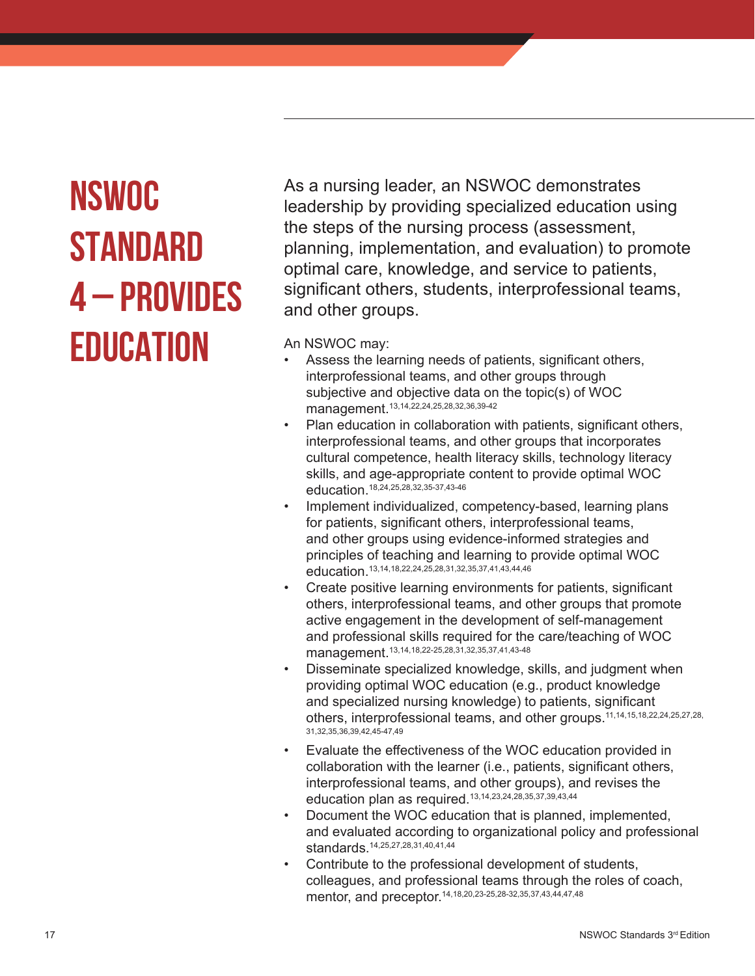### **NSWOC STANDARD 4 – PROVIDES EDUCATION**

As a nursing leader, an NSWOC demonstrates leadership by providing specialized education using the steps of the nursing process (assessment, planning, implementation, and evaluation) to promote optimal care, knowledge, and service to patients, significant others, students, interprofessional teams, and other groups.

- Assess the learning needs of patients, significant others, interprofessional teams, and other groups through subjective and objective data on the topic(s) of WOC management.13,14,22,24,25,28,32,36,39-42
- Plan education in collaboration with patients, significant others, interprofessional teams, and other groups that incorporates cultural competence, health literacy skills, technology literacy skills, and age-appropriate content to provide optimal WOC education.18,24,25,28,32,35-37,43-46
- Implement individualized, competency-based, learning plans for patients, significant others, interprofessional teams, and other groups using evidence-informed strategies and principles of teaching and learning to provide optimal WOC education.13,14,18,22,24,25,28,31,32,35,37,41,43,44,46
- Create positive learning environments for patients, significant others, interprofessional teams, and other groups that promote active engagement in the development of self-management and professional skills required for the care/teaching of WOC management.13,14,18,22-25,28,31,32,35,37,41,43-48
- Disseminate specialized knowledge, skills, and judgment when providing optimal WOC education (e.g., product knowledge and specialized nursing knowledge) to patients, significant others, interprofessional teams, and other groups.<sup>11,14,15,18,22,24,25,27,28,</sup> 31,32,35,36,39,42,45-47,49
- Evaluate the effectiveness of the WOC education provided in collaboration with the learner (i.e., patients, significant others, interprofessional teams, and other groups), and revises the education plan as required.13,14,23,24,28,35,37,39,43,44
- Document the WOC education that is planned, implemented, and evaluated according to organizational policy and professional standards.14,25,27,28,31,40,41,44
- Contribute to the professional development of students, colleagues, and professional teams through the roles of coach, mentor, and preceptor.14,18,20,23-25,28-32,35,37,43,44,47,48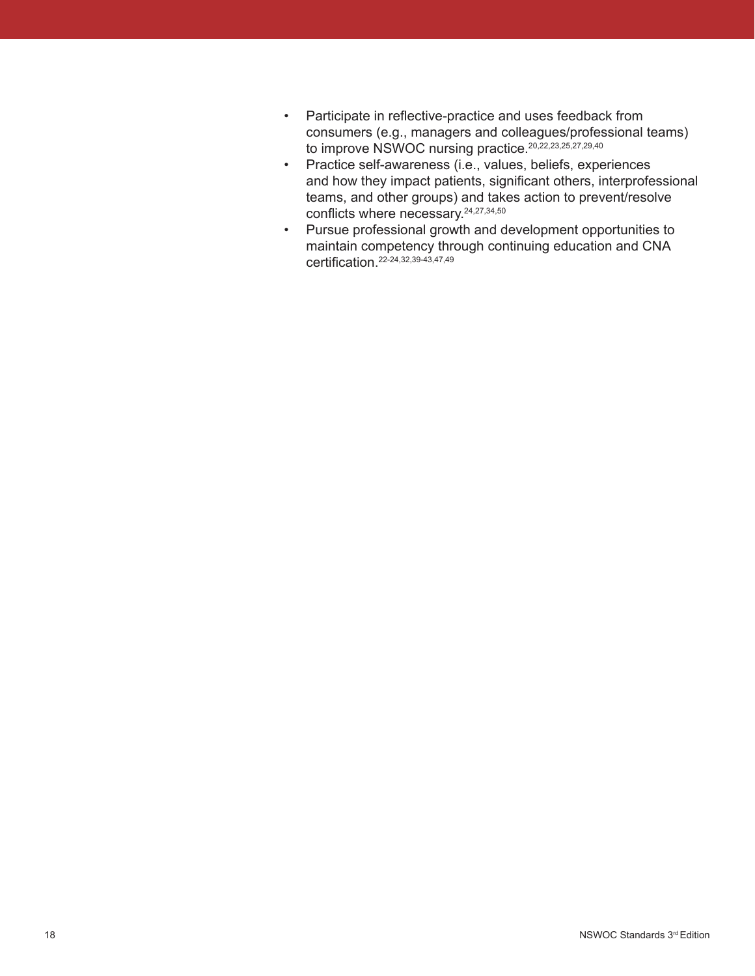- Participate in reflective-practice and uses feedback from consumers (e.g., managers and colleagues/professional teams) to improve NSWOC nursing practice.<sup>20,22,23,25,27,29,40</sup>
- Practice self-awareness (i.e., values, beliefs, experiences and how they impact patients, significant others, interprofessional teams, and other groups) and takes action to prevent/resolve conflicts where necessary.24,27,34,50
- Pursue professional growth and development opportunities to maintain competency through continuing education and CNA certification.<sup>22-24,32,39-43,47,49</sup>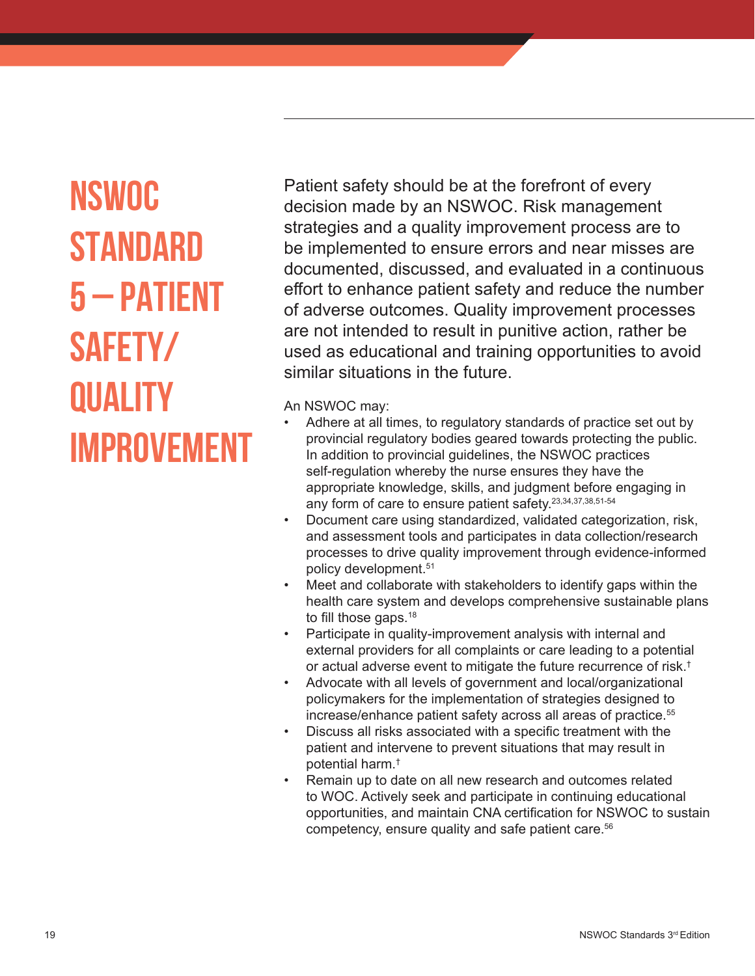# **NSWOC STANDARD 5 – PATIENT SAFETY/ QUALITY IMPROVEMENT**

Patient safety should be at the forefront of every decision made by an NSWOC. Risk management strategies and a quality improvement process are to be implemented to ensure errors and near misses are documented, discussed, and evaluated in a continuous effort to enhance patient safety and reduce the number of adverse outcomes. Quality improvement processes are not intended to result in punitive action, rather be used as educational and training opportunities to avoid similar situations in the future.

- Adhere at all times, to regulatory standards of practice set out by provincial regulatory bodies geared towards protecting the public. In addition to provincial guidelines, the NSWOC practices self-regulation whereby the nurse ensures they have the appropriate knowledge, skills, and judgment before engaging in any form of care to ensure patient safety.<sup>23,34,37,38,51-54</sup>
- Document care using standardized, validated categorization, risk, and assessment tools and participates in data collection/research processes to drive quality improvement through evidence-informed policy development.51
- Meet and collaborate with stakeholders to identify gaps within the health care system and develops comprehensive sustainable plans to fill those gaps.<sup>18</sup>
- Participate in quality-improvement analysis with internal and external providers for all complaints or care leading to a potential or actual adverse event to mitigate the future recurrence of risk.†
- Advocate with all levels of government and local/organizational policymakers for the implementation of strategies designed to increase/enhance patient safety across all areas of practice.<sup>55</sup>
- Discuss all risks associated with a specific treatment with the patient and intervene to prevent situations that may result in potential harm.†
- Remain up to date on all new research and outcomes related to WOC. Actively seek and participate in continuing educational opportunities, and maintain CNA certification for NSWOC to sustain competency, ensure quality and safe patient care.<sup>56</sup>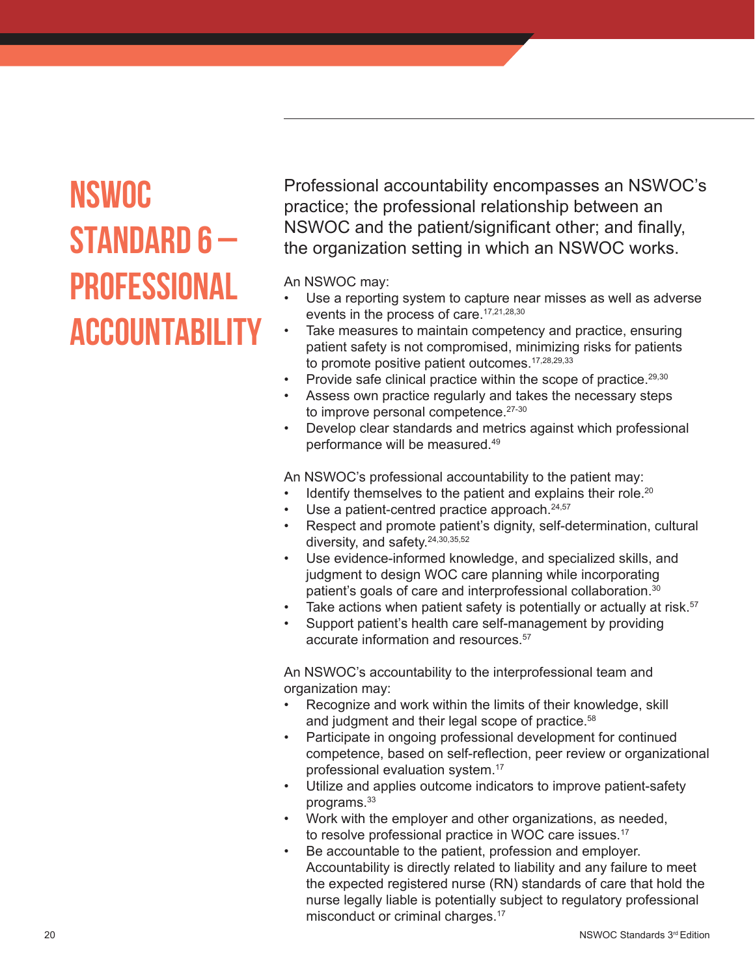### **NSWOC STANDARD 6 – PROFESSIONAL ACCOUNTABILIT**

Professional accountability encompasses an NSWOC's practice; the professional relationship between an NSWOC and the patient/significant other; and finally, the organization setting in which an NSWOC works.

### An NSWOC may:

- Use a reporting system to capture near misses as well as adverse events in the process of care.<sup>17,21,28,30</sup>
- Take measures to maintain competency and practice, ensuring patient safety is not compromised, minimizing risks for patients to promote positive patient outcomes.<sup>17,28,29,33</sup>
- Provide safe clinical practice within the scope of practice.<sup>29,30</sup>
- Assess own practice regularly and takes the necessary steps to improve personal competence.<sup>27-30</sup>
- Develop clear standards and metrics against which professional performance will be measured.49

An NSWOC's professional accountability to the patient may:

- Identify themselves to the patient and explains their role.<sup>20</sup>
- Use a patient-centred practice approach. $24,57$
- Respect and promote patient's dignity, self-determination, cultural diversity, and safety.<sup>24,30,35,52</sup>
- Use evidence-informed knowledge, and specialized skills, and judgment to design WOC care planning while incorporating patient's goals of care and interprofessional collaboration.<sup>30</sup>
- Take actions when patient safety is potentially or actually at risk.<sup>57</sup>
- Support patient's health care self-management by providing accurate information and resources.<sup>57</sup>

An NSWOC's accountability to the interprofessional team and organization may:

- Recognize and work within the limits of their knowledge, skill and judgment and their legal scope of practice.<sup>58</sup>
- Participate in ongoing professional development for continued competence, based on self-reflection, peer review or organizational professional evaluation system.17
- Utilize and applies outcome indicators to improve patient-safety programs.<sup>33</sup>
- Work with the employer and other organizations, as needed, to resolve professional practice in WOC care issues.<sup>17</sup>
- Be accountable to the patient, profession and employer. Accountability is directly related to liability and any failure to meet the expected registered nurse (RN) standards of care that hold the nurse legally liable is potentially subject to regulatory professional misconduct or criminal charges.<sup>17</sup>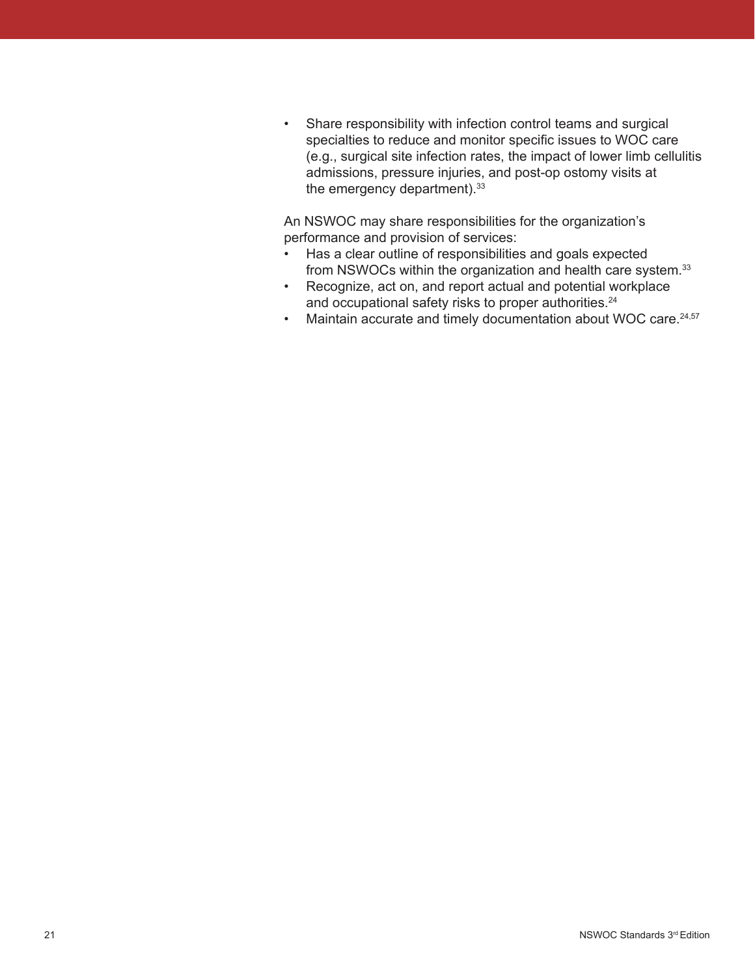• Share responsibility with infection control teams and surgical specialties to reduce and monitor specific issues to WOC care (e.g., surgical site infection rates, the impact of lower limb cellulitis admissions, pressure injuries, and post-op ostomy visits at the emergency department).<sup>33</sup>

An NSWOC may share responsibilities for the organization's performance and provision of services:

- Has a clear outline of responsibilities and goals expected from NSWOCs within the organization and health care system.<sup>33</sup>
- Recognize, act on, and report actual and potential workplace and occupational safety risks to proper authorities.<sup>24</sup>
- Maintain accurate and timely documentation about WOC care.<sup>24,57</sup>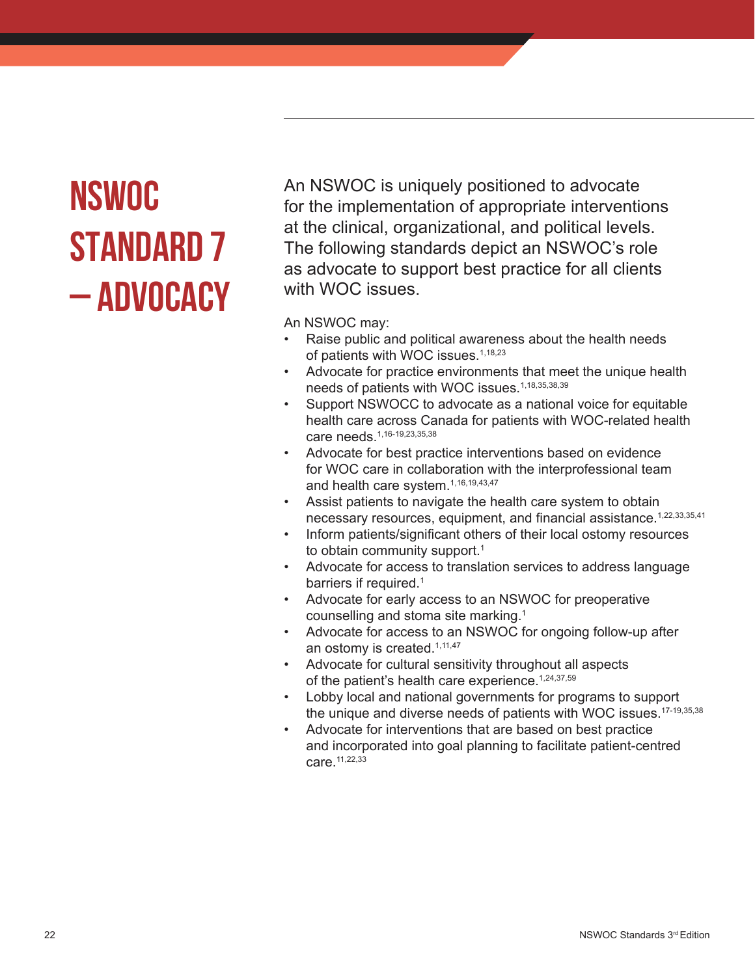# **NSWOC STANDARD 7 – ADVOCACY**

An NSWOC is uniquely positioned to advocate for the implementation of appropriate interventions at the clinical, organizational, and political levels. The following standards depict an NSWOC's role as advocate to support best practice for all clients with WOC issues.

- Raise public and political awareness about the health needs of patients with WOC issues.<sup>1,18,23</sup>
- Advocate for practice environments that meet the unique health needs of patients with WOC issues.<sup>1,18,35,38,39</sup>
- Support NSWOCC to advocate as a national voice for equitable health care across Canada for patients with WOC-related health care needs.1,16-19,23,35,38
- Advocate for best practice interventions based on evidence for WOC care in collaboration with the interprofessional team and health care system.1,16,19,43,47
- Assist patients to navigate the health care system to obtain necessary resources, equipment, and financial assistance.<sup>1,22,33,35,41</sup>
- Inform patients/significant others of their local ostomy resources to obtain community support.<sup>1</sup>
- Advocate for access to translation services to address language barriers if required.<sup>1</sup>
- Advocate for early access to an NSWOC for preoperative counselling and stoma site marking.1
- Advocate for access to an NSWOC for ongoing follow-up after an ostomy is created.<sup>1,11,47</sup>
- Advocate for cultural sensitivity throughout all aspects of the patient's health care experience.<sup>1,24,37,59</sup>
- Lobby local and national governments for programs to support the unique and diverse needs of patients with WOC issues.<sup>17-19,35,38</sup>
- Advocate for interventions that are based on best practice and incorporated into goal planning to facilitate patient-centred care.11,22,33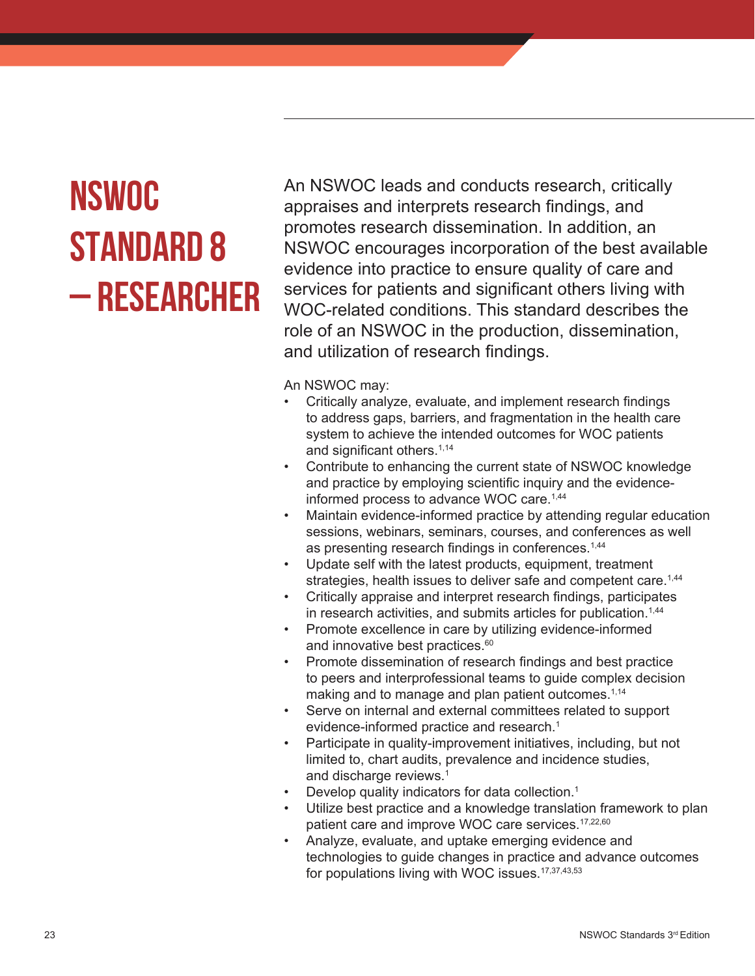# **NSWOC STANDARD 8 – RESEARCHER**

An NSWOC leads and conducts research, critically appraises and interprets research findings, and promotes research dissemination. In addition, an NSWOC encourages incorporation of the best available evidence into practice to ensure quality of care and services for patients and significant others living with WOC-related conditions. This standard describes the role of an NSWOC in the production, dissemination, and utilization of research findings.

- Critically analyze, evaluate, and implement research findings to address gaps, barriers, and fragmentation in the health care system to achieve the intended outcomes for WOC patients and significant others.<sup>1,14</sup>
- Contribute to enhancing the current state of NSWOC knowledge and practice by employing scientific inquiry and the evidenceinformed process to advance WOC care.<sup>1,44</sup>
- Maintain evidence-informed practice by attending regular education sessions, webinars, seminars, courses, and conferences as well as presenting research findings in conferences.<sup>1,44</sup>
- Update self with the latest products, equipment, treatment strategies, health issues to deliver safe and competent care.<sup>1,44</sup>
- Critically appraise and interpret research findings, participates in research activities, and submits articles for publication.<sup>1,44</sup>
- Promote excellence in care by utilizing evidence-informed and innovative best practices.<sup>60</sup>
- Promote dissemination of research findings and best practice to peers and interprofessional teams to guide complex decision making and to manage and plan patient outcomes.<sup>1,14</sup>
- Serve on internal and external committees related to support evidence-informed practice and research.<sup>1</sup>
- Participate in quality-improvement initiatives, including, but not limited to, chart audits, prevalence and incidence studies, and discharge reviews.<sup>1</sup>
- Develop quality indicators for data collection.<sup>1</sup>
- Utilize best practice and a knowledge translation framework to plan patient care and improve WOC care services.<sup>17,22,60</sup>
- Analyze, evaluate, and uptake emerging evidence and technologies to guide changes in practice and advance outcomes for populations living with WOC issues.<sup>17,37,43,53</sup>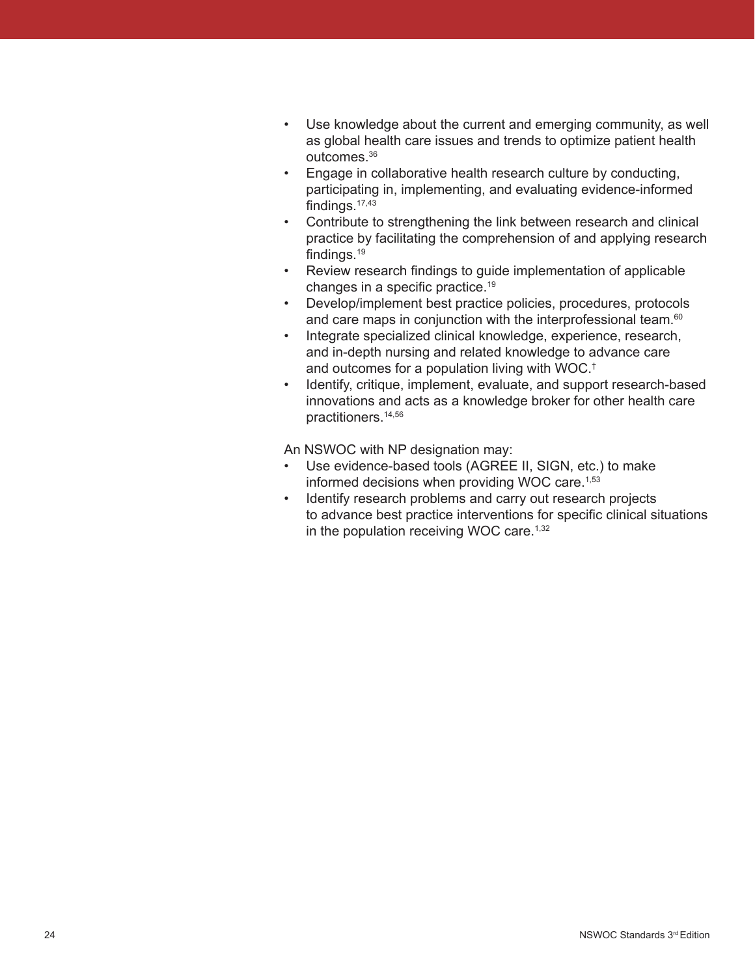- Use knowledge about the current and emerging community, as well as global health care issues and trends to optimize patient health outcomes.36
- Engage in collaborative health research culture by conducting, participating in, implementing, and evaluating evidence-informed findings. $17,43$
- Contribute to strengthening the link between research and clinical practice by facilitating the comprehension of and applying research findings.19
- Review research findings to guide implementation of applicable changes in a specific practice.19
- Develop/implement best practice policies, procedures, protocols and care maps in conjunction with the interprofessional team.<sup>60</sup>
- Integrate specialized clinical knowledge, experience, research, and in-depth nursing and related knowledge to advance care and outcomes for a population living with WOC.†
- Identify, critique, implement, evaluate, and support research-based innovations and acts as a knowledge broker for other health care practitioners.14,56

An NSWOC with NP designation may:

- Use evidence-based tools (AGREE II, SIGN, etc.) to make informed decisions when providing WOC care.<sup>1,53</sup>
- Identify research problems and carry out research projects to advance best practice interventions for specific clinical situations in the population receiving WOC care.<sup>1,32</sup>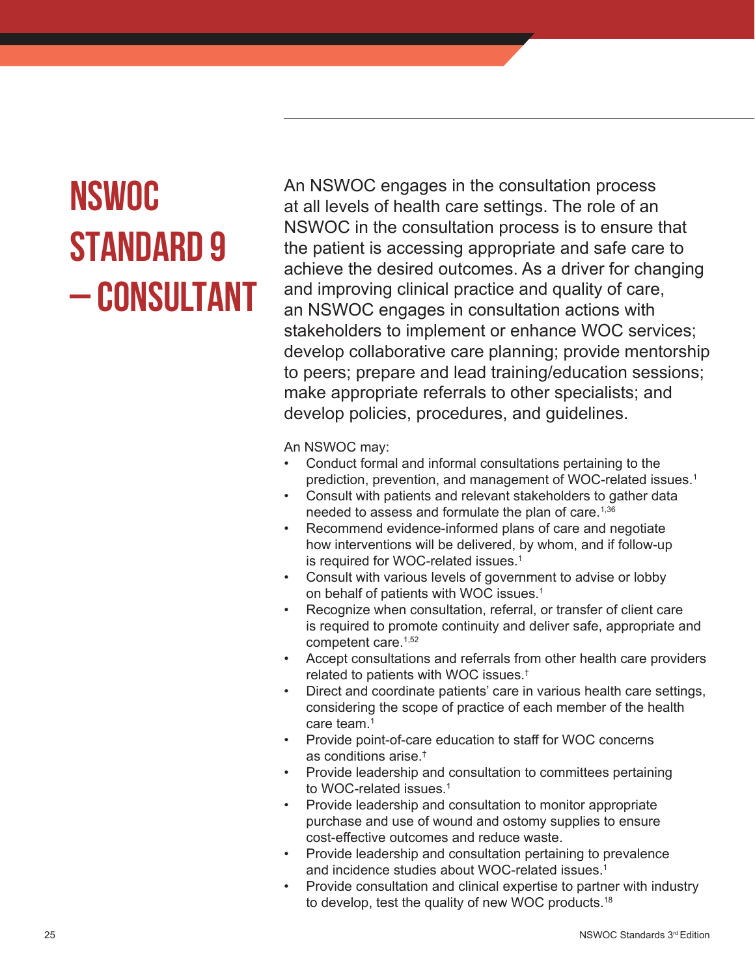# **NSWOC STANDARD 9 – CONSULTANT**

An NSWOC engages in the consultation process at all levels of health care settings. The role of an NSWOC in the consultation process is to ensure that the patient is accessing appropriate and safe care to achieve the desired outcomes. As a driver for changing and improving clinical practice and quality of care, an NSWOC engages in consultation actions with stakeholders to implement or enhance WOC services; develop collaborative care planning; provide mentorship to peers; prepare and lead training/education sessions; make appropriate referrals to other specialists; and develop policies, procedures, and guidelines.

- Conduct formal and informal consultations pertaining to the prediction, prevention, and management of WOC-related issues.<sup>1</sup>
- Consult with patients and relevant stakeholders to gather data needed to assess and formulate the plan of care.<sup>1,36</sup>
- Recommend evidence-informed plans of care and negotiate how interventions will be delivered, by whom, and if follow-up is required for WOC-related issues.<sup>1</sup>
- Consult with various levels of government to advise or lobby on behalf of patients with WOC issues.<sup>1</sup>
- Recognize when consultation, referral, or transfer of client care is required to promote continuity and deliver safe, appropriate and competent care.<sup>1,52</sup>
- Accept consultations and referrals from other health care providers related to patients with WOC issues.†
- Direct and coordinate patients' care in various health care settings, considering the scope of practice of each member of the health care team.<sup>1</sup>
- Provide point-of-care education to staff for WOC concerns as conditions arise.†
- Provide leadership and consultation to committees pertaining to WOC-related issues.<sup>1</sup>
- Provide leadership and consultation to monitor appropriate purchase and use of wound and ostomy supplies to ensure cost-effective outcomes and reduce waste.
- Provide leadership and consultation pertaining to prevalence and incidence studies about WOC-related issues.<sup>1</sup>
- Provide consultation and clinical expertise to partner with industry to develop, test the quality of new WOC products.<sup>18</sup>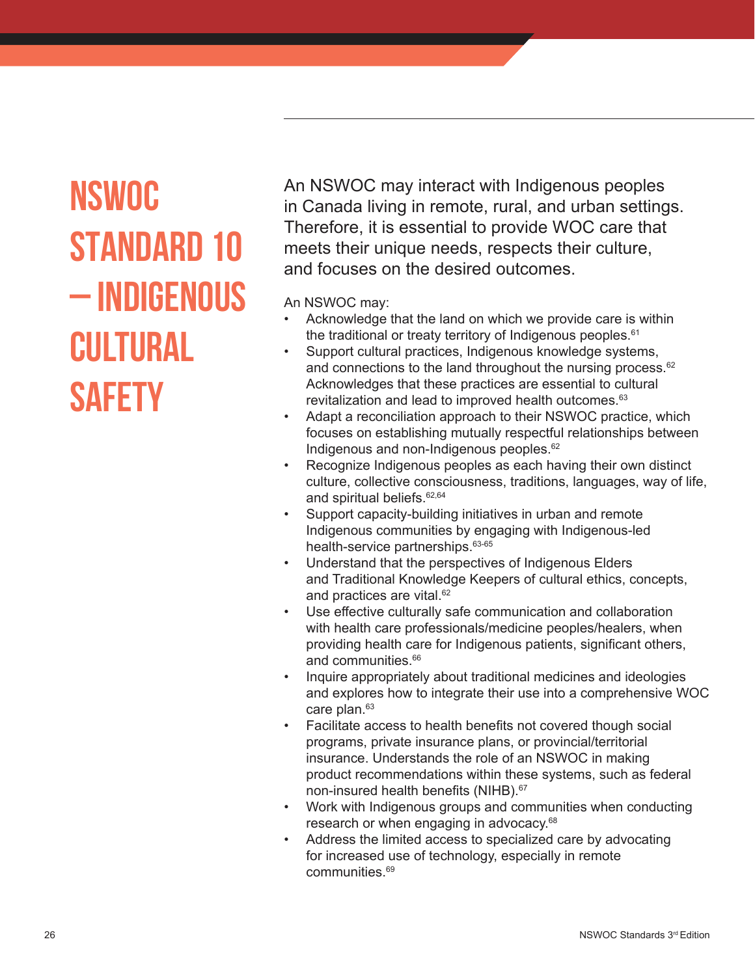### **NSWOC STANDARD 10 – INDIGENOUS CULTURAL SAFETY**

An NSWOC may interact with Indigenous peoples in Canada living in remote, rural, and urban settings. Therefore, it is essential to provide WOC care that meets their unique needs, respects their culture, and focuses on the desired outcomes.

- Acknowledge that the land on which we provide care is within the traditional or treaty territory of Indigenous peoples.<sup>61</sup>
- Support cultural practices, Indigenous knowledge systems, and connections to the land throughout the nursing process.<sup>62</sup> Acknowledges that these practices are essential to cultural revitalization and lead to improved health outcomes.<sup>63</sup>
- Adapt a reconciliation approach to their NSWOC practice, which focuses on establishing mutually respectful relationships between Indigenous and non-Indigenous peoples.<sup>62</sup>
- Recognize Indigenous peoples as each having their own distinct culture, collective consciousness, traditions, languages, way of life, and spiritual beliefs.<sup>62,64</sup>
- Support capacity-building initiatives in urban and remote Indigenous communities by engaging with Indigenous-led health-service partnerships. 63-65
- Understand that the perspectives of Indigenous Elders and Traditional Knowledge Keepers of cultural ethics, concepts, and practices are vital.<sup>62</sup>
- Use effective culturally safe communication and collaboration with health care professionals/medicine peoples/healers, when providing health care for Indigenous patients, significant others, and communities.<sup>66</sup>
- Inquire appropriately about traditional medicines and ideologies and explores how to integrate their use into a comprehensive WOC care plan.<sup>63</sup>
- Facilitate access to health benefits not covered though social programs, private insurance plans, or provincial/territorial insurance. Understands the role of an NSWOC in making product recommendations within these systems, such as federal non-insured health benefits (NIHB).<sup>67</sup>
- Work with Indigenous groups and communities when conducting research or when engaging in advocacy.<sup>68</sup>
- Address the limited access to specialized care by advocating for increased use of technology, especially in remote communities.<sup>69</sup>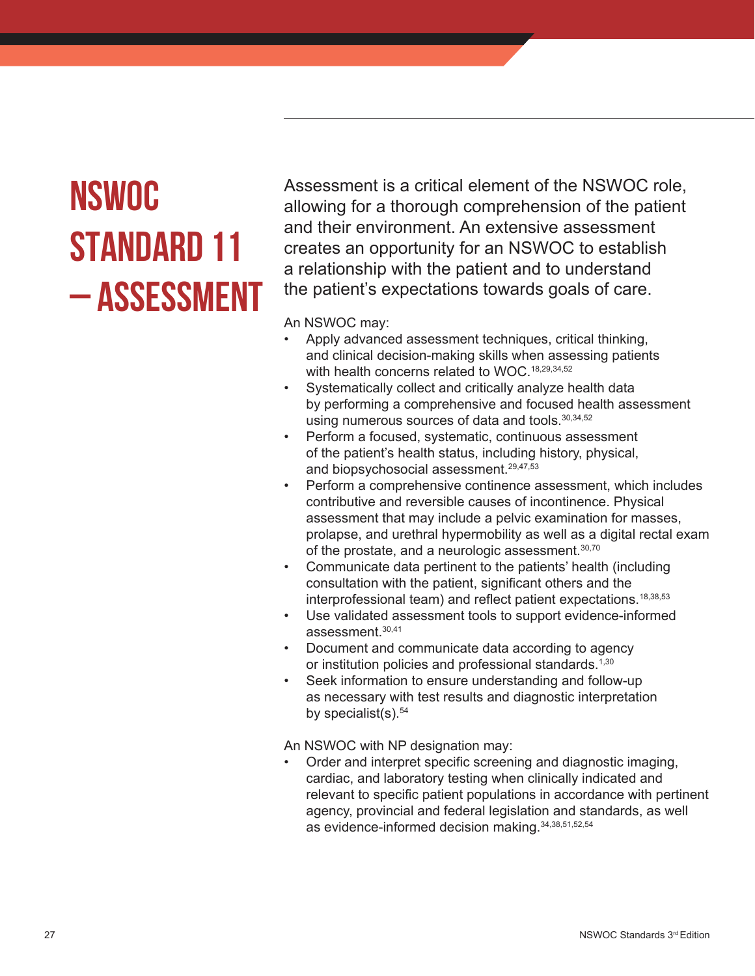# **NSWOC STANDARD 11 – ASSESSMENT**

Assessment is a critical element of the NSWOC role, allowing for a thorough comprehension of the patient and their environment. An extensive assessment creates an opportunity for an NSWOC to establish a relationship with the patient and to understand the patient's expectations towards goals of care.

An NSWOC may:

- Apply advanced assessment techniques, critical thinking, and clinical decision-making skills when assessing patients with health concerns related to WOC.<sup>18,29,34,52</sup>
- Systematically collect and critically analyze health data by performing a comprehensive and focused health assessment using numerous sources of data and tools.<sup>30,34,52</sup>
- Perform a focused, systematic, continuous assessment of the patient's health status, including history, physical, and biopsychosocial assessment.<sup>29,47,53</sup>
- Perform a comprehensive continence assessment, which includes contributive and reversible causes of incontinence. Physical assessment that may include a pelvic examination for masses, prolapse, and urethral hypermobility as well as a digital rectal exam of the prostate, and a neurologic assessment.<sup>30,70</sup>
- Communicate data pertinent to the patients' health (including consultation with the patient, significant others and the interprofessional team) and reflect patient expectations.<sup>18,38,53</sup>
- Use validated assessment tools to support evidence-informed assessment.30,41
- Document and communicate data according to agency or institution policies and professional standards.<sup>1,30</sup>
- Seek information to ensure understanding and follow-up as necessary with test results and diagnostic interpretation by specialist(s). $54$

An NSWOC with NP designation may:

• Order and interpret specific screening and diagnostic imaging, cardiac, and laboratory testing when clinically indicated and relevant to specific patient populations in accordance with pertinent agency, provincial and federal legislation and standards, as well as evidence-informed decision making.34,38,51,52,54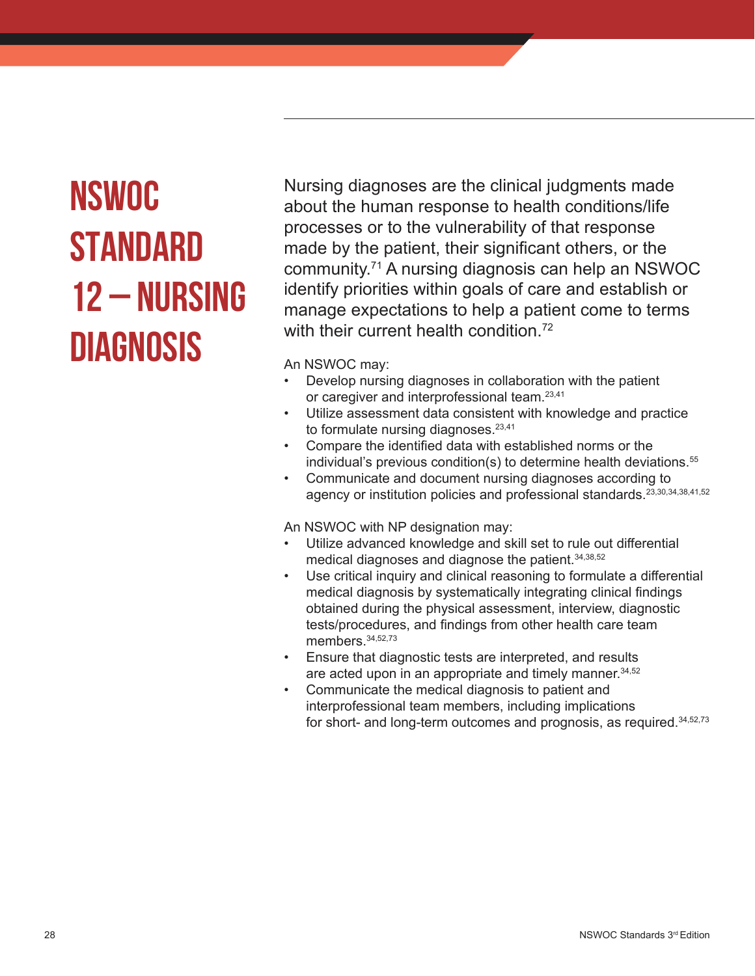### **NSWOC STANDARD 12 – NURSING DIAGNOSIS**

Nursing diagnoses are the clinical judgments made about the human response to health conditions/life processes or to the vulnerability of that response made by the patient, their significant others, or the community.<sup>71</sup> A nursing diagnosis can help an NSWOC identify priorities within goals of care and establish or manage expectations to help a patient come to terms with their current health condition.<sup>72</sup>

An NSWOC may:

- Develop nursing diagnoses in collaboration with the patient or caregiver and interprofessional team.23,41
- Utilize assessment data consistent with knowledge and practice to formulate nursing diagnoses.<sup>23,41</sup>
- Compare the identified data with established norms or the individual's previous condition(s) to determine health deviations.<sup>55</sup>
- Communicate and document nursing diagnoses according to agency or institution policies and professional standards.<sup>23,30,34,38,41,52</sup>

An NSWOC with NP designation may:

- Utilize advanced knowledge and skill set to rule out differential medical diagnoses and diagnose the patient.34,38,52
- Use critical inquiry and clinical reasoning to formulate a differential medical diagnosis by systematically integrating clinical findings obtained during the physical assessment, interview, diagnostic tests/procedures, and findings from other health care team members.<sup>34,52,73</sup>
- Ensure that diagnostic tests are interpreted, and results are acted upon in an appropriate and timely manner.<sup>34,52</sup>
- Communicate the medical diagnosis to patient and interprofessional team members, including implications for short- and long-term outcomes and prognosis, as required.34,52,73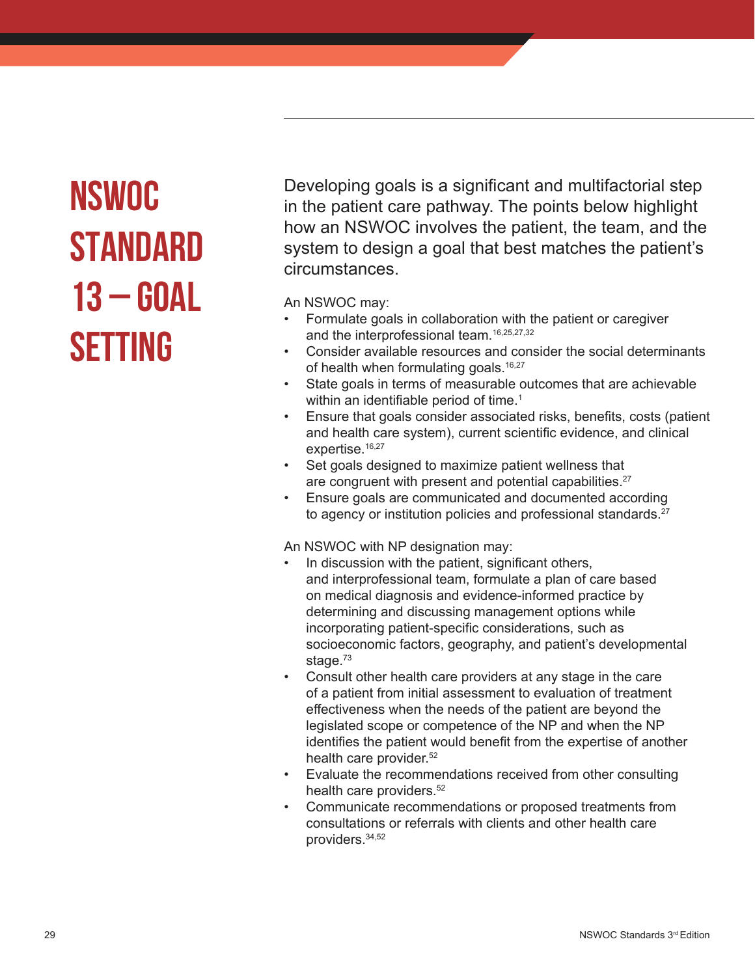### **NSWOC STANDARD 13 – GOAL SETTING**

Developing goals is a significant and multifactorial step in the patient care pathway. The points below highlight how an NSWOC involves the patient, the team, and the system to design a goal that best matches the patient's circumstances.

An NSWOC may:

- Formulate goals in collaboration with the patient or caregiver and the interprofessional team.<sup>16,25,27,32</sup>
- Consider available resources and consider the social determinants of health when formulating goals.<sup>16,27</sup>
- State goals in terms of measurable outcomes that are achievable within an identifiable period of time.<sup>1</sup>
- Ensure that goals consider associated risks, benefits, costs (patient and health care system), current scientific evidence, and clinical expertise.<sup>16,27</sup>
- Set goals designed to maximize patient wellness that are congruent with present and potential capabilities.<sup>27</sup>
- Ensure goals are communicated and documented according to agency or institution policies and professional standards.<sup>27</sup>

An NSWOC with NP designation may:

- In discussion with the patient, significant others, and interprofessional team, formulate a plan of care based on medical diagnosis and evidence-informed practice by determining and discussing management options while incorporating patient-specific considerations, such as socioeconomic factors, geography, and patient's developmental stage.<sup>73</sup>
- Consult other health care providers at any stage in the care of a patient from initial assessment to evaluation of treatment effectiveness when the needs of the patient are beyond the legislated scope or competence of the NP and when the NP identifies the patient would benefit from the expertise of another health care provider.<sup>52</sup>
- Evaluate the recommendations received from other consulting health care providers.<sup>52</sup>
- Communicate recommendations or proposed treatments from consultations or referrals with clients and other health care providers.34,52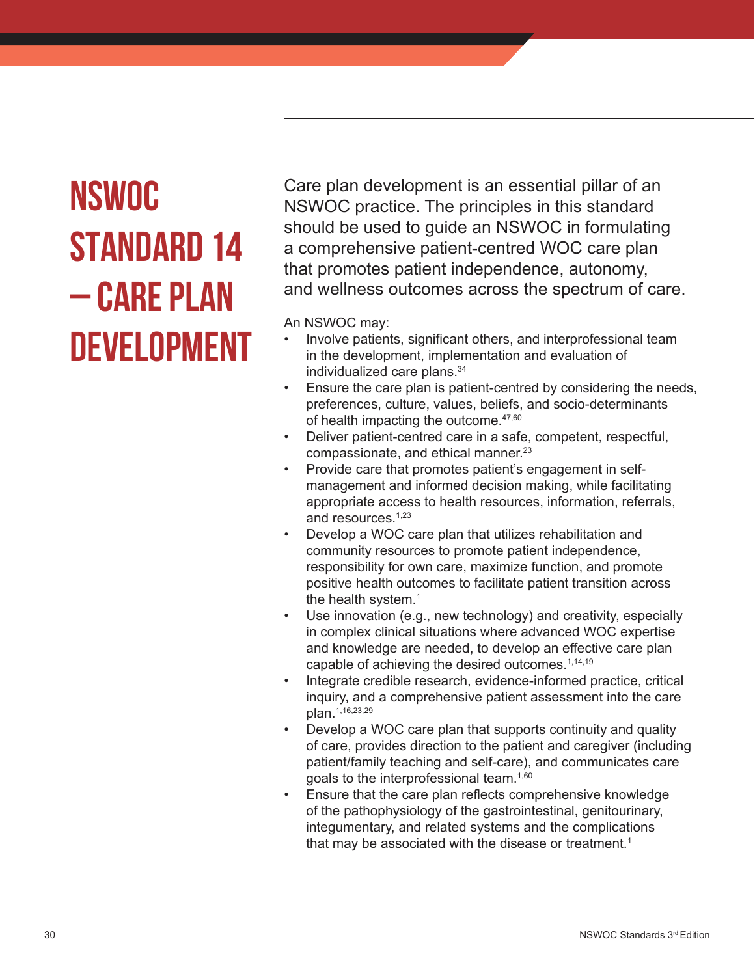# **NSWOC STANDARD 14 – CARE PLAN DEVELOPMENT**

Care plan development is an essential pillar of an NSWOC practice. The principles in this standard should be used to guide an NSWOC in formulating a comprehensive patient-centred WOC care plan that promotes patient independence, autonomy, and wellness outcomes across the spectrum of care.

- Involve patients, significant others, and interprofessional team in the development, implementation and evaluation of individualized care plans.<sup>34</sup>
- Ensure the care plan is patient-centred by considering the needs, preferences, culture, values, beliefs, and socio-determinants of health impacting the outcome.<sup>47,60</sup>
- Deliver patient-centred care in a safe, competent, respectful, compassionate, and ethical manner.<sup>23</sup>
- Provide care that promotes patient's engagement in selfmanagement and informed decision making, while facilitating appropriate access to health resources, information, referrals, and resources.<sup>1,23</sup>
- Develop a WOC care plan that utilizes rehabilitation and community resources to promote patient independence, responsibility for own care, maximize function, and promote positive health outcomes to facilitate patient transition across the health system.<sup>1</sup>
- Use innovation (e.g., new technology) and creativity, especially in complex clinical situations where advanced WOC expertise and knowledge are needed, to develop an effective care plan capable of achieving the desired outcomes.<sup>1,14,19</sup>
- Integrate credible research, evidence-informed practice, critical inquiry, and a comprehensive patient assessment into the care plan.1,16,23,29
- Develop a WOC care plan that supports continuity and quality of care, provides direction to the patient and caregiver (including patient/family teaching and self-care), and communicates care goals to the interprofessional team.1,60
- Ensure that the care plan reflects comprehensive knowledge of the pathophysiology of the gastrointestinal, genitourinary, integumentary, and related systems and the complications that may be associated with the disease or treatment.<sup>1</sup>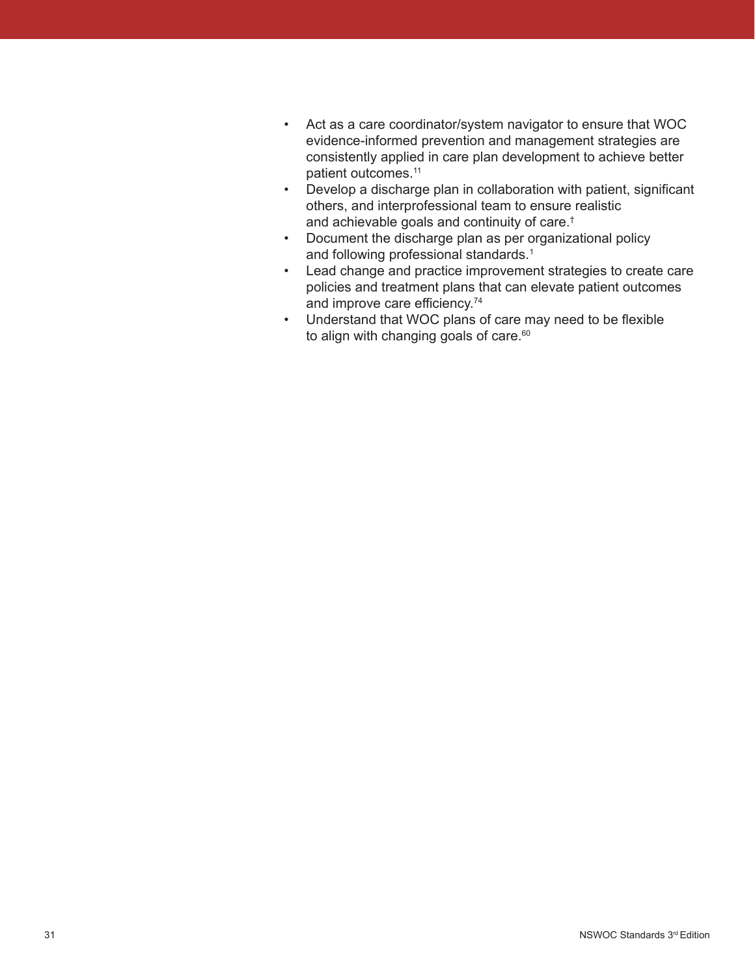- Act as a care coordinator/system navigator to ensure that WOC evidence-informed prevention and management strategies are consistently applied in care plan development to achieve better patient outcomes.<sup>11</sup>
- Develop a discharge plan in collaboration with patient, significant others, and interprofessional team to ensure realistic and achievable goals and continuity of care.†
- Document the discharge plan as per organizational policy and following professional standards.<sup>1</sup>
- Lead change and practice improvement strategies to create care policies and treatment plans that can elevate patient outcomes and improve care efficiency.<sup>74</sup>
- Understand that WOC plans of care may need to be flexible to align with changing goals of care.<sup>60</sup>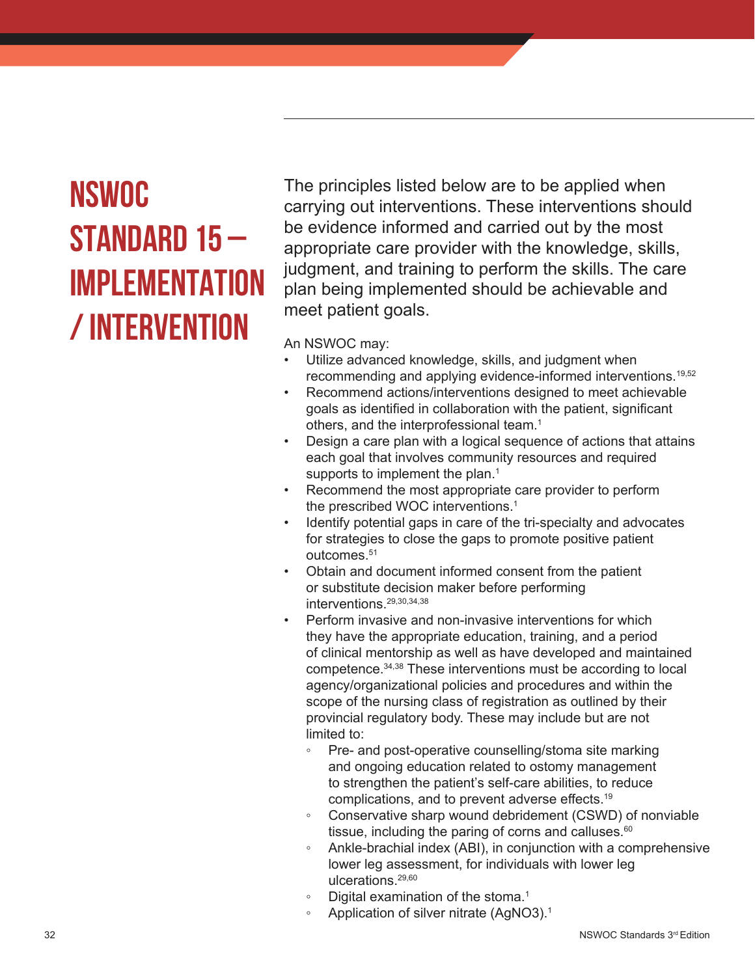### **NSWOC STANDARD 15 – IMPLEMENTATION / INTERVENTION**

The principles listed below are to be applied when carrying out interventions. These interventions should be evidence informed and carried out by the most appropriate care provider with the knowledge, skills, judgment, and training to perform the skills. The care plan being implemented should be achievable and meet patient goals.

- Utilize advanced knowledge, skills, and judgment when recommending and applying evidence-informed interventions.19,52
- Recommend actions/interventions designed to meet achievable goals as identified in collaboration with the patient, significant others, and the interprofessional team.<sup>1</sup>
- Design a care plan with a logical sequence of actions that attains each goal that involves community resources and required supports to implement the plan.<sup>1</sup>
- Recommend the most appropriate care provider to perform the prescribed WOC interventions.<sup>1</sup>
- Identify potential gaps in care of the tri-specialty and advocates for strategies to close the gaps to promote positive patient outcomes.<sup>51</sup>
- Obtain and document informed consent from the patient or substitute decision maker before performing interventions.29,30,34,38
- Perform invasive and non-invasive interventions for which they have the appropriate education, training, and a period of clinical mentorship as well as have developed and maintained competence.34,38 These interventions must be according to local agency/organizational policies and procedures and within the scope of the nursing class of registration as outlined by their provincial regulatory body. These may include but are not limited to:
	- Pre- and post-operative counselling/stoma site marking and ongoing education related to ostomy management to strengthen the patient's self-care abilities, to reduce complications, and to prevent adverse effects.19
	- Conservative sharp wound debridement (CSWD) of nonviable tissue, including the paring of corns and calluses. $60$
	- Ankle-brachial index (ABI), in conjunction with a comprehensive lower leg assessment, for individuals with lower leg ulcerations.29,60
	- Digital examination of the stoma.<sup>1</sup>
	- Application of silver nitrate (AgNO3).<sup>1</sup>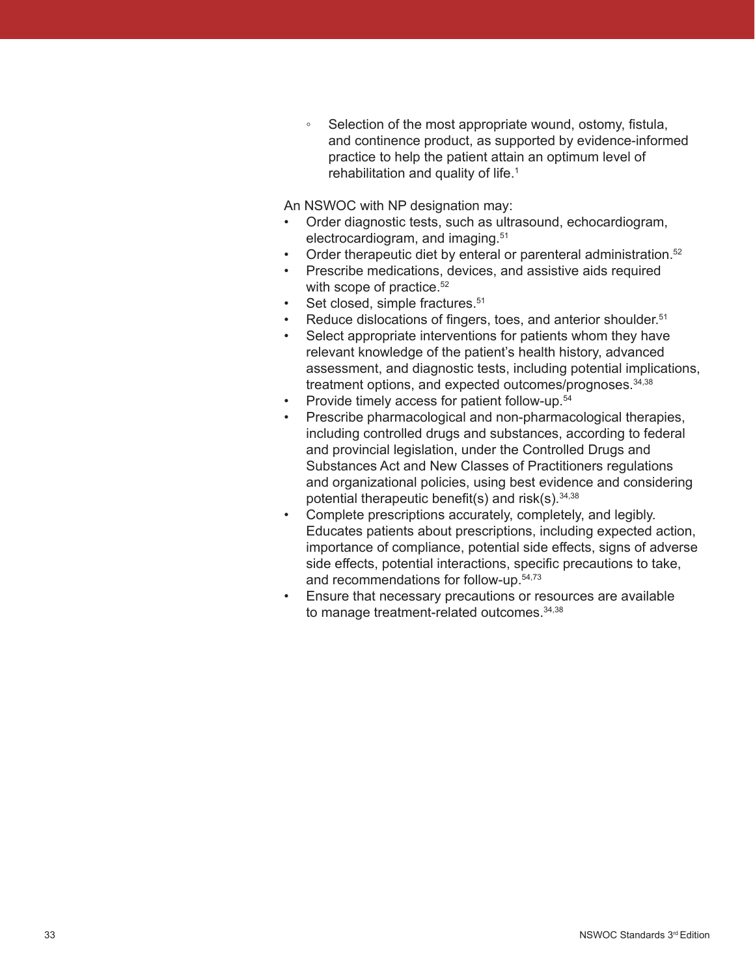◦ Selection of the most appropriate wound, ostomy, fistula, and continence product, as supported by evidence-informed practice to help the patient attain an optimum level of rehabilitation and quality of life.<sup>1</sup>

An NSWOC with NP designation may:

- Order diagnostic tests, such as ultrasound, echocardiogram, electrocardiogram, and imaging.51
- Order therapeutic diet by enteral or parenteral administration.<sup>52</sup>
- Prescribe medications, devices, and assistive aids required with scope of practice.<sup>52</sup>
- Set closed, simple fractures.<sup>51</sup>
- Reduce dislocations of fingers, toes, and anterior shoulder.<sup>51</sup>
- Select appropriate interventions for patients whom they have relevant knowledge of the patient's health history, advanced assessment, and diagnostic tests, including potential implications, treatment options, and expected outcomes/prognoses.34,38
- Provide timely access for patient follow-up.<sup>54</sup>
- Prescribe pharmacological and non-pharmacological therapies, including controlled drugs and substances, according to federal and provincial legislation, under the Controlled Drugs and Substances Act and New Classes of Practitioners regulations and organizational policies, using best evidence and considering potential therapeutic benefit(s) and risk(s).  $34,38$
- Complete prescriptions accurately, completely, and legibly. Educates patients about prescriptions, including expected action, importance of compliance, potential side effects, signs of adverse side effects, potential interactions, specific precautions to take, and recommendations for follow-up.54,73
- Ensure that necessary precautions or resources are available to manage treatment-related outcomes.34,38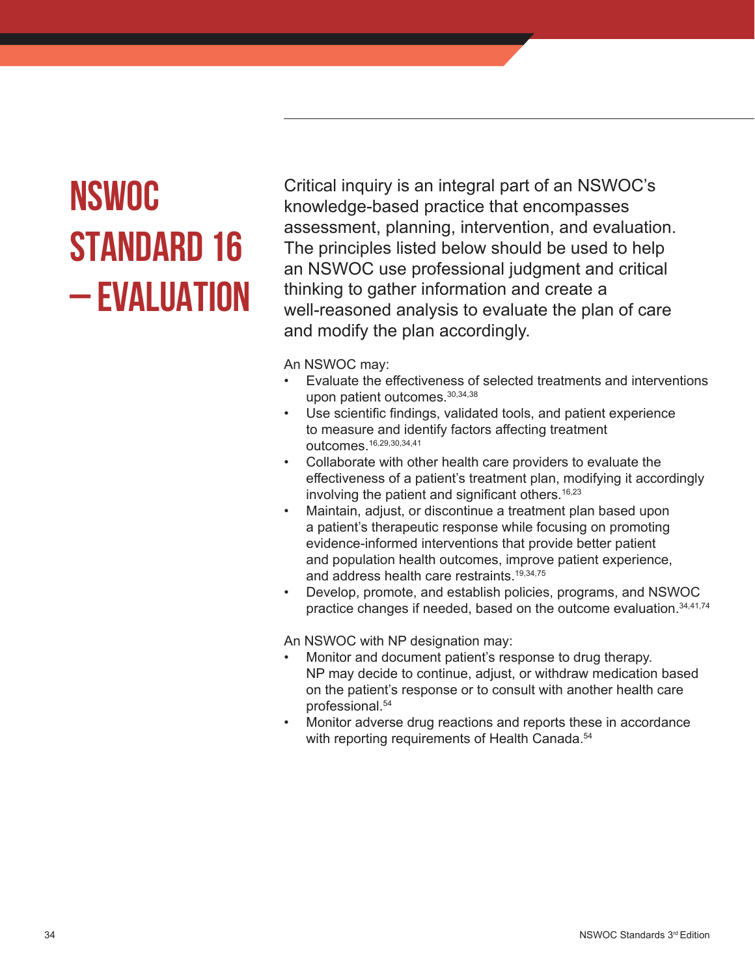# **NSWOC STANDARD 16 – EVALUATION**

Critical inquiry is an integral part of an NSWOC's knowledge-based practice that encompasses assessment, planning, intervention, and evaluation. The principles listed below should be used to help an NSWOC use professional judgment and critical thinking to gather information and create a well-reasoned analysis to evaluate the plan of care and modify the plan accordingly.

An NSWOC may:

- Evaluate the effectiveness of selected treatments and interventions upon patient outcomes. 30,34,38
- Use scientific findings, validated tools, and patient experience to measure and identify factors affecting treatment outcomes.16,29,30,34,41
- Collaborate with other health care providers to evaluate the effectiveness of a patient's treatment plan, modifying it accordingly involving the patient and significant others.<sup>16,23</sup>
- Maintain, adjust, or discontinue a treatment plan based upon a patient's therapeutic response while focusing on promoting evidence-informed interventions that provide better patient and population health outcomes, improve patient experience, and address health care restraints.<sup>19,34,75</sup>
- Develop, promote, and establish policies, programs, and NSWOC practice changes if needed, based on the outcome evaluation. 34,41,74

An NSWOC with NP designation may:

- Monitor and document patient's response to drug therapy. NP may decide to continue, adjust, or withdraw medication based on the patient's response or to consult with another health care professional.<sup>54</sup>
- Monitor adverse drug reactions and reports these in accordance with reporting requirements of Health Canada.<sup>54</sup>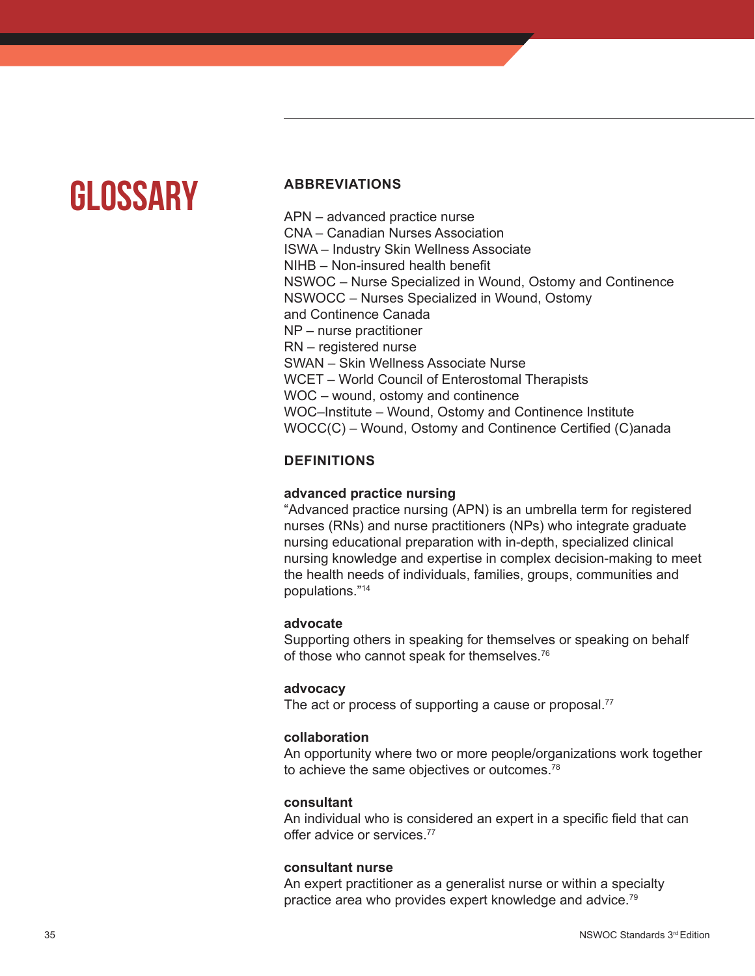### **GLOSSARY**

### **ABBREVIATIONS**

APN – advanced practice nurse CNA – Canadian Nurses Association ISWA – Industry Skin Wellness Associate NIHB – Non-insured health benefit NSWOC – Nurse Specialized in Wound, Ostomy and Continence NSWOCC – Nurses Specialized in Wound, Ostomy and Continence Canada NP – nurse practitioner RN – registered nurse SWAN – Skin Wellness Associate Nurse WCET – World Council of Enterostomal Therapists WOC – wound, ostomy and continence WOC–Institute – Wound, Ostomy and Continence Institute WOCC(C) – Wound, Ostomy and Continence Certified (C)anada

### **DEFINITIONS**

### **advanced practice nursing**

"Advanced practice nursing (APN) is an umbrella term for registered nurses (RNs) and nurse practitioners (NPs) who integrate graduate nursing educational preparation with in-depth, specialized clinical nursing knowledge and expertise in complex decision-making to meet the health needs of individuals, families, groups, communities and populations."14

### **advocate**

Supporting others in speaking for themselves or speaking on behalf of those who cannot speak for themselves.<sup>76</sup>

### **advocacy**

The act or process of supporting a cause or proposal.<sup>77</sup>

### **collaboration**

An opportunity where two or more people/organizations work together to achieve the same objectives or outcomes.<sup>78</sup>

### **consultant**

An individual who is considered an expert in a specific field that can offer advice or services.<sup>77</sup>

### **consultant nurse**

An expert practitioner as a generalist nurse or within a specialty practice area who provides expert knowledge and advice.<sup>79</sup>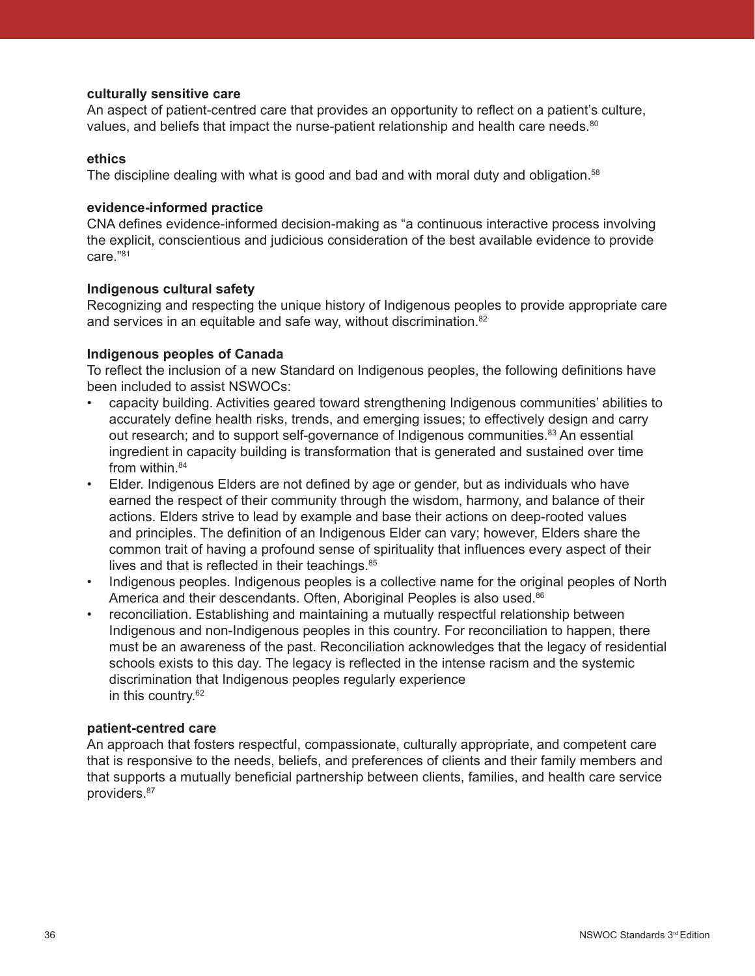#### **culturally sensitive care**

An aspect of patient-centred care that provides an opportunity to reflect on a patient's culture, values, and beliefs that impact the nurse-patient relationship and health care needs.<sup>80</sup>

#### **ethics**

The discipline dealing with what is good and bad and with moral duty and obligation.<sup>58</sup>

#### **evidence-informed practice**

CNA defines evidence-informed decision-making as "a continuous interactive process involving the explicit, conscientious and judicious consideration of the best available evidence to provide care."<sup>81</sup>

#### **Indigenous cultural safety**

Recognizing and respecting the unique history of Indigenous peoples to provide appropriate care and services in an equitable and safe way, without discrimination.<sup>82</sup>

#### **Indigenous peoples of Canada**

To reflect the inclusion of a new Standard on Indigenous peoples, the following definitions have been included to assist NSWOCs:

- capacity building. Activities geared toward strengthening Indigenous communities' abilities to accurately define health risks, trends, and emerging issues; to effectively design and carry out research; and to support self-governance of Indigenous communities.<sup>83</sup> An essential ingredient in capacity building is transformation that is generated and sustained over time from within.<sup>84</sup>
- Elder. Indigenous Elders are not defined by age or gender, but as individuals who have earned the respect of their community through the wisdom, harmony, and balance of their actions. Elders strive to lead by example and base their actions on deep-rooted values and principles. The definition of an Indigenous Elder can vary; however, Elders share the common trait of having a profound sense of spirituality that influences every aspect of their lives and that is reflected in their teachings. <sup>85</sup>
- Indigenous peoples. Indigenous peoples is a collective name for the original peoples of North America and their descendants. Often, Aboriginal Peoples is also used.<sup>86</sup>
- reconciliation. Establishing and maintaining a mutually respectful relationship between Indigenous and non-Indigenous peoples in this country. For reconciliation to happen, there must be an awareness of the past. Reconciliation acknowledges that the legacy of residential schools exists to this day. The legacy is reflected in the intense racism and the systemic discrimination that Indigenous peoples regularly experience in this country.62

#### **patient-centred care**

An approach that fosters respectful, compassionate, culturally appropriate, and competent care that is responsive to the needs, beliefs, and preferences of clients and their family members and that supports a mutually beneficial partnership between clients, families, and health care service providers.87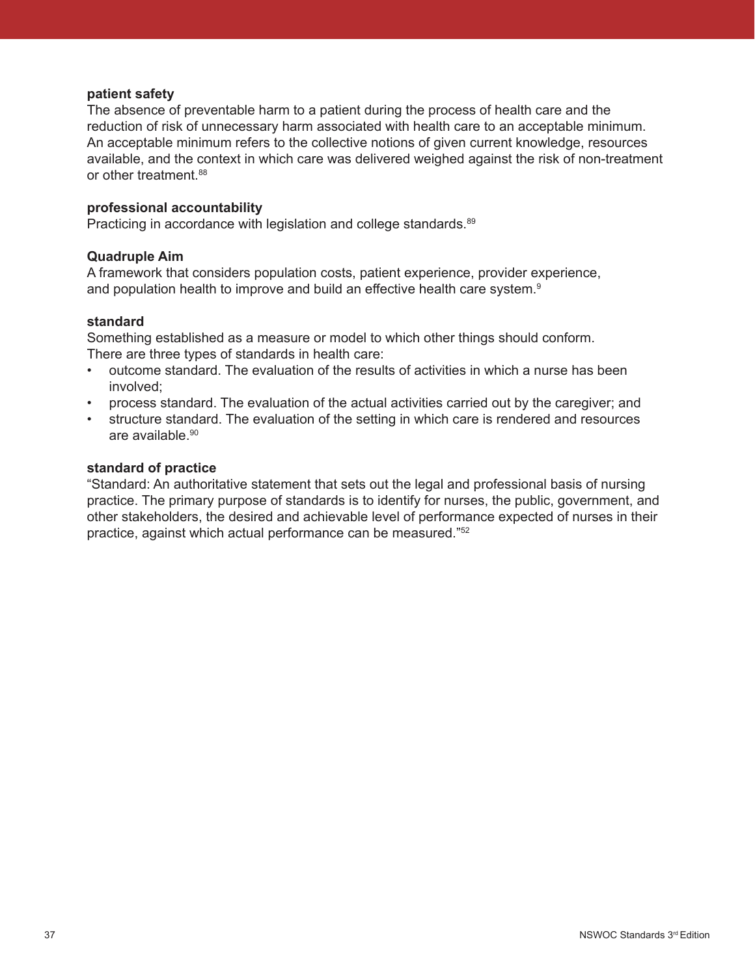#### **patient safety**

The absence of preventable harm to a patient during the process of health care and the reduction of risk of unnecessary harm associated with health care to an acceptable minimum. An acceptable minimum refers to the collective notions of given current knowledge, resources available, and the context in which care was delivered weighed against the risk of non-treatment or other treatment.<sup>88</sup>

#### **professional accountability**

Practicing in accordance with legislation and college standards.<sup>89</sup>

### **Quadruple Aim**

A framework that considers population costs, patient experience, provider experience, and population health to improve and build an effective health care system.<sup>9</sup>

#### **standard**

Something established as a measure or model to which other things should conform. There are three types of standards in health care:

- outcome standard. The evaluation of the results of activities in which a nurse has been involved;
- process standard. The evaluation of the actual activities carried out by the caregiver; and
- structure standard. The evaluation of the setting in which care is rendered and resources are available.<sup>90</sup>

#### **standard of practice**

"Standard: An authoritative statement that sets out the legal and professional basis of nursing practice. The primary purpose of standards is to identify for nurses, the public, government, and other stakeholders, the desired and achievable level of performance expected of nurses in their practice, against which actual performance can be measured."52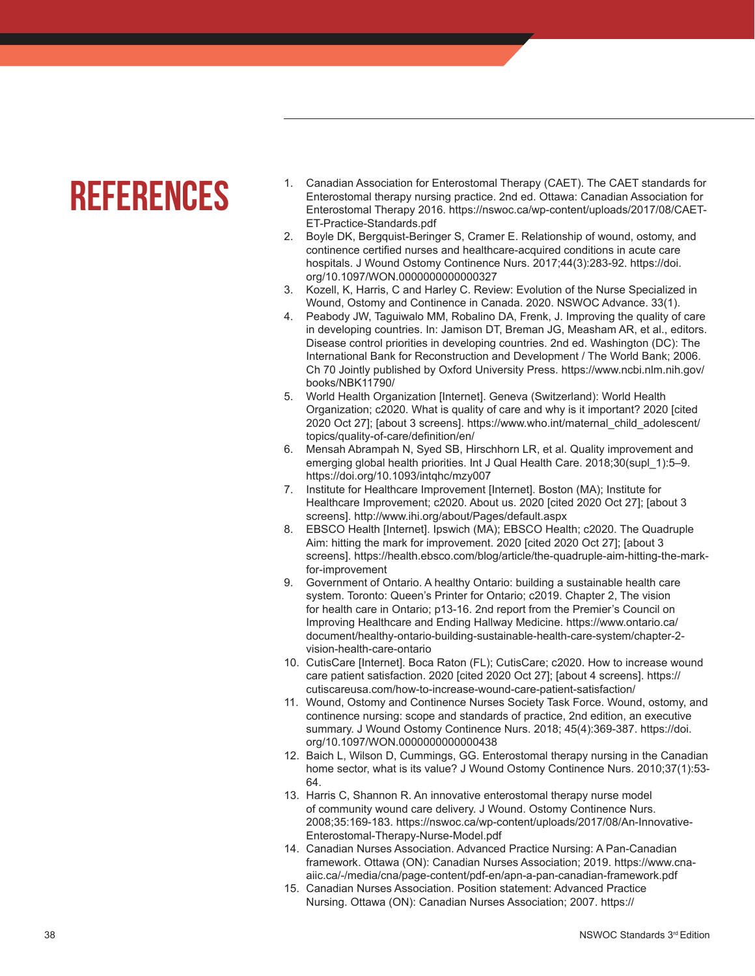### **REFERENCES**

- 1. Canadian Association for Enterostomal Therapy (CAET). The CAET standards for Enterostomal therapy nursing practice. 2nd ed. Ottawa: Canadian Association for Enterostomal Therapy 2016. https://nswoc.ca/wp-content/uploads/2017/08/CAET-ET-Practice-Standards.pdf
- 2. Boyle DK, Bergquist-Beringer S, Cramer E. Relationship of wound, ostomy, and continence certified nurses and healthcare-acquired conditions in acute care hospitals. J Wound Ostomy Continence Nurs. 2017;44(3):283-92. https://doi. org/10.1097/WON.0000000000000327
- 3. Kozell, K, Harris, C and Harley C. Review: Evolution of the Nurse Specialized in Wound, Ostomy and Continence in Canada. 2020. NSWOC Advance. 33(1).
- 4. Peabody JW, Taguiwalo MM, Robalino DA, Frenk, J. Improving the quality of care in developing countries. In: Jamison DT, Breman JG, Measham AR, et al., editors. Disease control priorities in developing countries. 2nd ed. Washington (DC): The International Bank for Reconstruction and Development / The World Bank; 2006. Ch 70 Jointly published by Oxford University Press. https://www.ncbi.nlm.nih.gov/ books/NBK11790/
- 5. World Health Organization [Internet]. Geneva (Switzerland): World Health Organization; c2020. What is quality of care and why is it important? 2020 [cited 2020 Oct 27]; [about 3 screens]. https://www.who.int/maternal\_child\_adolescent/ topics/quality-of-care/definition/en/
- 6. Mensah Abrampah N, Syed SB, Hirschhorn LR, et al. Quality improvement and emerging global health priorities. Int J Qual Health Care. 2018;30(supl 1):5–9. https://doi.org/10.1093/intqhc/mzy007
- 7. Institute for Healthcare Improvement [Internet]. Boston (MA); Institute for Healthcare Improvement; c2020. About us. 2020 [cited 2020 Oct 27]; [about 3 screens]. http://www.ihi.org/about/Pages/default.aspx
- 8. EBSCO Health [Internet]. Ipswich (MA); EBSCO Health; c2020. The Quadruple Aim: hitting the mark for improvement. 2020 [cited 2020 Oct 27]; [about 3 screens]. https://health.ebsco.com/blog/article/the-quadruple-aim-hitting-the-markfor-improvement
- 9. Government of Ontario. A healthy Ontario: building a sustainable health care system. Toronto: Queen's Printer for Ontario; c2019. Chapter 2, The vision for health care in Ontario; p13-16. 2nd report from the Premier's Council on Improving Healthcare and Ending Hallway Medicine. https://www.ontario.ca/ document/healthy-ontario-building-sustainable-health-care-system/chapter-2 vision-health-care-ontario
- 10. CutisCare [Internet]. Boca Raton (FL); CutisCare; c2020. How to increase wound care patient satisfaction. 2020 [cited 2020 Oct 27]; [about 4 screens]. https:// cutiscareusa.com/how-to-increase-wound-care-patient-satisfaction/
- 11. Wound, Ostomy and Continence Nurses Society Task Force. Wound, ostomy, and continence nursing: scope and standards of practice, 2nd edition, an executive summary. J Wound Ostomy Continence Nurs. 2018; 45(4):369-387. https://doi. org/10.1097/WON.0000000000000438
- 12. Baich L, Wilson D, Cummings, GG. Enterostomal therapy nursing in the Canadian home sector, what is its value? J Wound Ostomy Continence Nurs. 2010;37(1):53- 64.
- 13. Harris C, Shannon R. An innovative enterostomal therapy nurse model of community wound care delivery. J Wound. Ostomy Continence Nurs. 2008;35:169-183. https://nswoc.ca/wp-content/uploads/2017/08/An-Innovative-Enterostomal-Therapy-Nurse-Model.pdf
- 14. Canadian Nurses Association. Advanced Practice Nursing: A Pan-Canadian framework. Ottawa (ON): Canadian Nurses Association; 2019. https://www.cnaaiic.ca/-/media/cna/page-content/pdf-en/apn-a-pan-canadian-framework.pdf
- 15. Canadian Nurses Association. Position statement: Advanced Practice Nursing. Ottawa (ON): Canadian Nurses Association; 2007. https://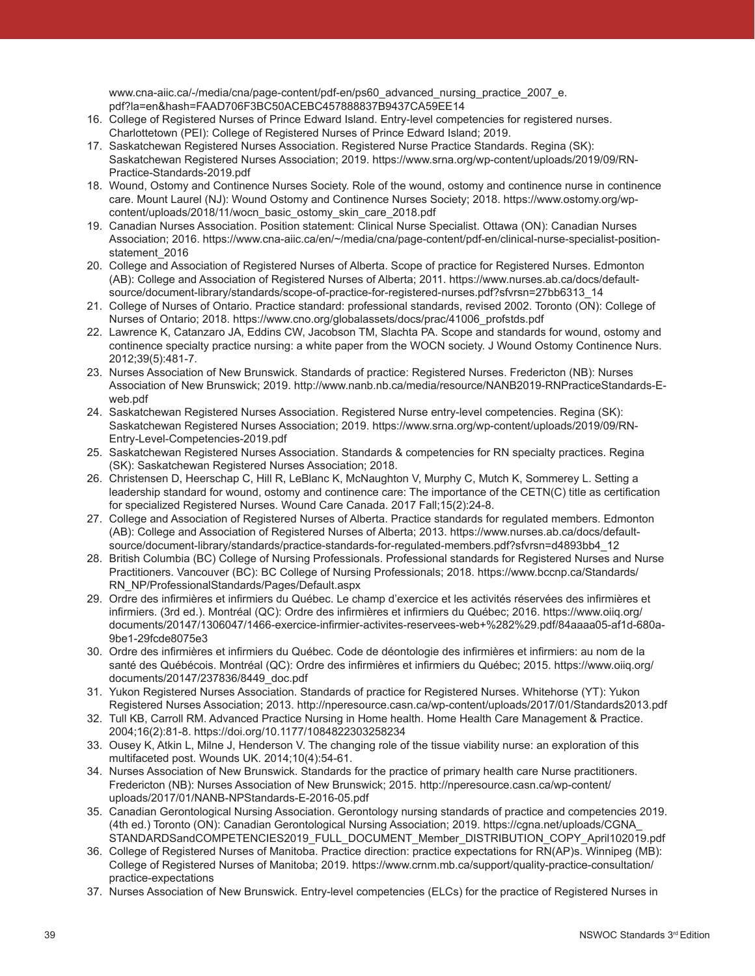www.cna-aiic.ca/-/media/cna/page-content/pdf-en/ps60\_advanced\_nursing\_practice\_2007\_e. pdf?la=en&hash=FAAD706F3BC50ACEBC457888837B9437CA59EE14

- 16. College of Registered Nurses of Prince Edward Island. Entry-level competencies for registered nurses. Charlottetown (PEI): College of Registered Nurses of Prince Edward Island; 2019.
- 17. Saskatchewan Registered Nurses Association. Registered Nurse Practice Standards. Regina (SK): Saskatchewan Registered Nurses Association; 2019. https://www.srna.org/wp-content/uploads/2019/09/RN-Practice-Standards-2019.pdf
- 18. Wound, Ostomy and Continence Nurses Society. Role of the wound, ostomy and continence nurse in continence care. Mount Laurel (NJ): Wound Ostomy and Continence Nurses Society; 2018. https://www.ostomy.org/wpcontent/uploads/2018/11/wocn\_basic\_ostomy\_skin\_care\_2018.pdf
- 19. Canadian Nurses Association. Position statement: Clinical Nurse Specialist. Ottawa (ON): Canadian Nurses Association; 2016. https://www.cna-aiic.ca/en/~/media/cna/page-content/pdf-en/clinical-nurse-specialist-positionstatement\_2016
- 20. College and Association of Registered Nurses of Alberta. Scope of practice for Registered Nurses. Edmonton (AB): College and Association of Registered Nurses of Alberta; 2011. https://www.nurses.ab.ca/docs/defaultsource/document-library/standards/scope-of-practice-for-registered-nurses.pdf?sfvrsn=27bb6313\_14
- 21. College of Nurses of Ontario. Practice standard: professional standards, revised 2002. Toronto (ON): College of Nurses of Ontario; 2018. https://www.cno.org/globalassets/docs/prac/41006\_profstds.pdf
- 22. Lawrence K, Catanzaro JA, Eddins CW, Jacobson TM, Slachta PA. Scope and standards for wound, ostomy and continence specialty practice nursing: a white paper from the WOCN society. J Wound Ostomy Continence Nurs. 2012;39(5):481-7.
- 23. Nurses Association of New Brunswick. Standards of practice: Registered Nurses. Fredericton (NB): Nurses Association of New Brunswick; 2019. http://www.nanb.nb.ca/media/resource/NANB2019-RNPracticeStandards-Eweb.pdf
- 24. Saskatchewan Registered Nurses Association. Registered Nurse entry-level competencies. Regina (SK): Saskatchewan Registered Nurses Association; 2019. https://www.srna.org/wp-content/uploads/2019/09/RN-Entry-Level-Competencies-2019.pdf
- 25. Saskatchewan Registered Nurses Association. Standards & competencies for RN specialty practices. Regina (SK): Saskatchewan Registered Nurses Association; 2018.
- 26. Christensen D, Heerschap C, Hill R, LeBlanc K, McNaughton V, Murphy C, Mutch K, Sommerey L. Setting a leadership standard for wound, ostomy and continence care: The importance of the CETN(C) title as certification for specialized Registered Nurses. Wound Care Canada. 2017 Fall;15(2):24-8.
- 27. College and Association of Registered Nurses of Alberta. Practice standards for regulated members. Edmonton (AB): College and Association of Registered Nurses of Alberta; 2013. https://www.nurses.ab.ca/docs/defaultsource/document-library/standards/practice-standards-for-regulated-members.pdf?sfvrsn=d4893bb4\_12
- 28. British Columbia (BC) College of Nursing Professionals. Professional standards for Registered Nurses and Nurse Practitioners. Vancouver (BC): BC College of Nursing Professionals; 2018. https://www.bccnp.ca/Standards/ RN\_NP/ProfessionalStandards/Pages/Default.aspx
- 29. Ordre des infirmières et infirmiers du Québec. Le champ d'exercice et les activités réservées des infirmières et infirmiers. (3rd ed.). Montréal (QC): Ordre des infirmières et infirmiers du Québec; 2016. https://www.oiiq.org/ documents/20147/1306047/1466-exercice-infirmier-activites-reservees-web+%282%29.pdf/84aaaa05-af1d-680a-9be1-29fcde8075e3
- 30. Ordre des infirmières et infirmiers du Québec. Code de déontologie des infirmières et infirmiers: au nom de la santé des Québécois. Montréal (QC): Ordre des infirmières et infirmiers du Québec; 2015. https://www.oiiq.org/ documents/20147/237836/8449\_doc.pdf
- 31. Yukon Registered Nurses Association. Standards of practice for Registered Nurses. Whitehorse (YT): Yukon Registered Nurses Association; 2013. http://nperesource.casn.ca/wp-content/uploads/2017/01/Standards2013.pdf
- 32. Tull KB, Carroll RM. Advanced Practice Nursing in Home health. Home Health Care Management & Practice. 2004;16(2):81-8. https://doi.org/10.1177/1084822303258234
- 33. Ousey K, Atkin L, Milne J, Henderson V. The changing role of the tissue viability nurse: an exploration of this multifaceted post. Wounds UK. 2014;10(4):54-61.
- 34. Nurses Association of New Brunswick. Standards for the practice of primary health care Nurse practitioners. Fredericton (NB): Nurses Association of New Brunswick; 2015. http://nperesource.casn.ca/wp-content/ uploads/2017/01/NANB-NPStandards-E-2016-05.pdf
- 35. Canadian Gerontological Nursing Association. Gerontology nursing standards of practice and competencies 2019. (4th ed.) Toronto (ON): Canadian Gerontological Nursing Association; 2019. https://cgna.net/uploads/CGNA\_ STANDARDSandCOMPETENCIES2019\_FULL\_DOCUMENT\_Member\_DISTRIBUTION\_COPY\_April102019.pdf
- 36. College of Registered Nurses of Manitoba. Practice direction: practice expectations for RN(AP)s. Winnipeg (MB): College of Registered Nurses of Manitoba; 2019. https://www.crnm.mb.ca/support/quality-practice-consultation/ practice-expectations
- 37. Nurses Association of New Brunswick. Entry-level competencies (ELCs) for the practice of Registered Nurses in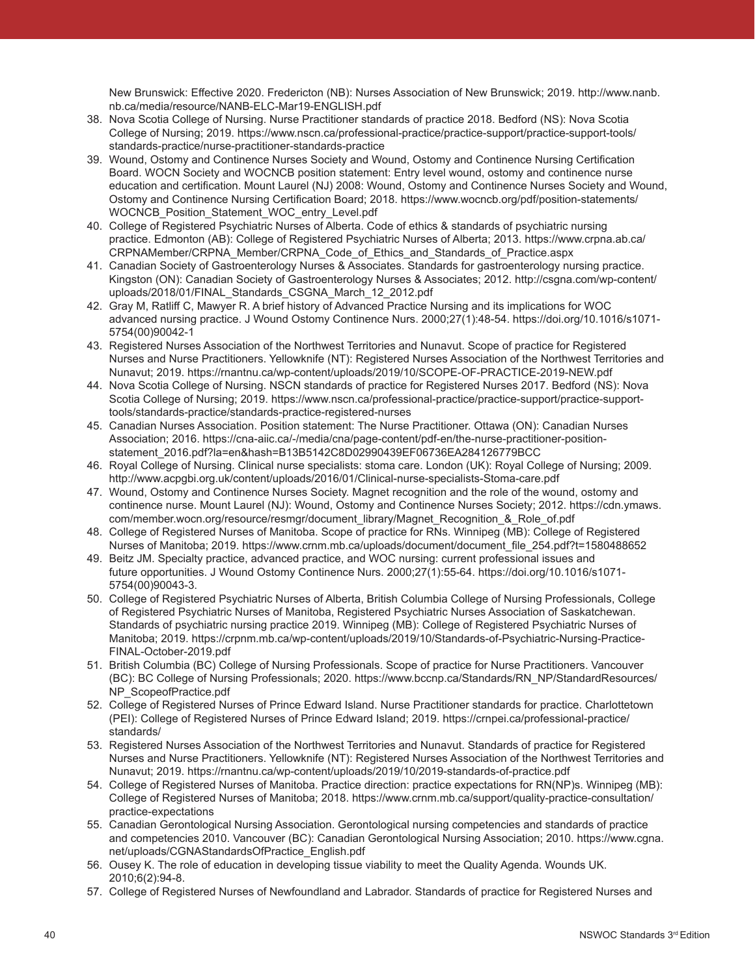New Brunswick: Effective 2020. Fredericton (NB): Nurses Association of New Brunswick; 2019. http://www.nanb. nb.ca/media/resource/NANB-ELC-Mar19-ENGLISH.pdf

- 38. Nova Scotia College of Nursing. Nurse Practitioner standards of practice 2018. Bedford (NS): Nova Scotia College of Nursing; 2019. https://www.nscn.ca/professional-practice/practice-support/practice-support-tools/ standards-practice/nurse-practitioner-standards-practice
- 39. Wound, Ostomy and Continence Nurses Society and Wound, Ostomy and Continence Nursing Certification Board. WOCN Society and WOCNCB position statement: Entry level wound, ostomy and continence nurse education and certification. Mount Laurel (NJ) 2008: Wound, Ostomy and Continence Nurses Society and Wound, Ostomy and Continence Nursing Certification Board; 2018. https://www.wocncb.org/pdf/position-statements/ WOCNCB\_Position\_Statement\_WOC\_entry\_Level.pdf
- 40. College of Registered Psychiatric Nurses of Alberta. Code of ethics & standards of psychiatric nursing practice. Edmonton (AB): College of Registered Psychiatric Nurses of Alberta; 2013. https://www.crpna.ab.ca/ CRPNAMember/CRPNA\_Member/CRPNA\_Code\_of\_Ethics\_and\_Standards\_of\_Practice.aspx
- 41. Canadian Society of Gastroenterology Nurses & Associates. Standards for gastroenterology nursing practice. Kingston (ON): Canadian Society of Gastroenterology Nurses & Associates; 2012. http://csgna.com/wp-content/ uploads/2018/01/FINAL\_Standards\_CSGNA\_March\_12\_2012.pdf
- 42. Gray M, Ratliff C, Mawyer R. A brief history of Advanced Practice Nursing and its implications for WOC advanced nursing practice. J Wound Ostomy Continence Nurs. 2000;27(1):48-54. https://doi.org/10.1016/s1071- 5754(00)90042-1
- 43. Registered Nurses Association of the Northwest Territories and Nunavut. Scope of practice for Registered Nurses and Nurse Practitioners. Yellowknife (NT): Registered Nurses Association of the Northwest Territories and Nunavut; 2019. https://rnantnu.ca/wp-content/uploads/2019/10/SCOPE-OF-PRACTICE-2019-NEW.pdf
- 44. Nova Scotia College of Nursing. NSCN standards of practice for Registered Nurses 2017. Bedford (NS): Nova Scotia College of Nursing; 2019. https://www.nscn.ca/professional-practice/practice-support/practice-supporttools/standards-practice/standards-practice-registered-nurses
- 45. Canadian Nurses Association. Position statement: The Nurse Practitioner. Ottawa (ON): Canadian Nurses Association; 2016. https://cna-aiic.ca/-/media/cna/page-content/pdf-en/the-nurse-practitioner-positionstatement\_2016.pdf?la=en&hash=B13B5142C8D02990439EF06736EA284126779BCC
- 46. Royal College of Nursing. Clinical nurse specialists: stoma care. London (UK): Royal College of Nursing; 2009. http://www.acpgbi.org.uk/content/uploads/2016/01/Clinical-nurse-specialists-Stoma-care.pdf
- 47. Wound, Ostomy and Continence Nurses Society. Magnet recognition and the role of the wound, ostomy and continence nurse. Mount Laurel (NJ): Wound, Ostomy and Continence Nurses Society; 2012. https://cdn.ymaws. com/member.wocn.org/resource/resmgr/document\_library/Magnet\_Recognition\_&\_Role\_of.pdf
- 48. College of Registered Nurses of Manitoba. Scope of practice for RNs. Winnipeg (MB): College of Registered Nurses of Manitoba; 2019. https://www.crnm.mb.ca/uploads/document/document\_file\_254.pdf?t=1580488652
- 49. Beitz JM. Specialty practice, advanced practice, and WOC nursing: current professional issues and future opportunities. J Wound Ostomy Continence Nurs. 2000;27(1):55-64. https://doi.org/10.1016/s1071- 5754(00)90043-3.
- 50. College of Registered Psychiatric Nurses of Alberta, British Columbia College of Nursing Professionals, College of Registered Psychiatric Nurses of Manitoba, Registered Psychiatric Nurses Association of Saskatchewan. Standards of psychiatric nursing practice 2019. Winnipeg (MB): College of Registered Psychiatric Nurses of Manitoba; 2019. https://crpnm.mb.ca/wp-content/uploads/2019/10/Standards-of-Psychiatric-Nursing-Practice-FINAL-October-2019.pdf
- 51. British Columbia (BC) College of Nursing Professionals. Scope of practice for Nurse Practitioners. Vancouver (BC): BC College of Nursing Professionals; 2020. https://www.bccnp.ca/Standards/RN\_NP/StandardResources/ NP\_ScopeofPractice.pdf
- 52. College of Registered Nurses of Prince Edward Island. Nurse Practitioner standards for practice. Charlottetown (PEI): College of Registered Nurses of Prince Edward Island; 2019. https://crnpei.ca/professional-practice/ standards/
- 53. Registered Nurses Association of the Northwest Territories and Nunavut. Standards of practice for Registered Nurses and Nurse Practitioners. Yellowknife (NT): Registered Nurses Association of the Northwest Territories and Nunavut; 2019. https://rnantnu.ca/wp-content/uploads/2019/10/2019-standards-of-practice.pdf
- 54. College of Registered Nurses of Manitoba. Practice direction: practice expectations for RN(NP)s. Winnipeg (MB): College of Registered Nurses of Manitoba; 2018. https://www.crnm.mb.ca/support/quality-practice-consultation/ practice-expectations
- 55. Canadian Gerontological Nursing Association. Gerontological nursing competencies and standards of practice and competencies 2010. Vancouver (BC): Canadian Gerontological Nursing Association; 2010. https://www.cgna. net/uploads/CGNAStandardsOfPractice\_English.pdf
- 56. Ousey K. The role of education in developing tissue viability to meet the Quality Agenda. Wounds UK. 2010;6(2):94-8.
- 57. College of Registered Nurses of Newfoundland and Labrador. Standards of practice for Registered Nurses and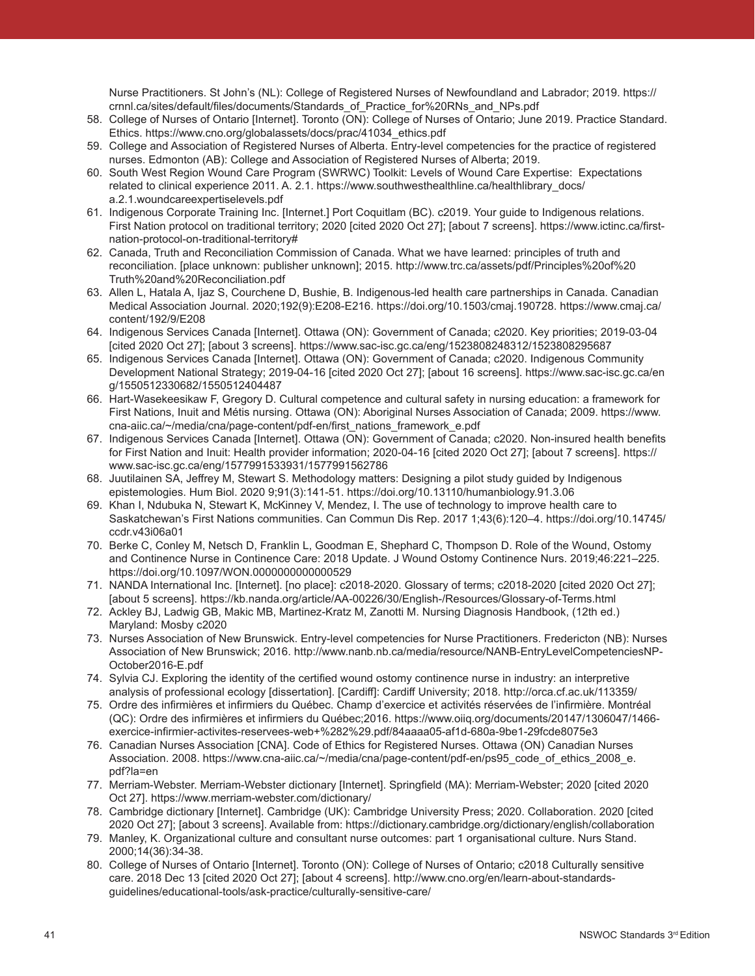Nurse Practitioners. St John's (NL): College of Registered Nurses of Newfoundland and Labrador; 2019. https:// crnnl.ca/sites/default/files/documents/Standards\_of\_Practice\_for%20RNs\_and\_NPs.pdf

- 58. College of Nurses of Ontario [Internet]. Toronto (ON): College of Nurses of Ontario; June 2019. Practice Standard. Ethics. https://www.cno.org/globalassets/docs/prac/41034\_ethics.pdf
- 59. College and Association of Registered Nurses of Alberta. Entry-level competencies for the practice of registered nurses. Edmonton (AB): College and Association of Registered Nurses of Alberta; 2019.
- 60. South West Region Wound Care Program (SWRWC) Toolkit: Levels of Wound Care Expertise: Expectations related to clinical experience 2011. A. 2.1. https://www.southwesthealthline.ca/healthlibrary\_docs/ a.2.1.woundcareexpertiselevels.pdf
- 61. Indigenous Corporate Training Inc. [Internet.] Port Coquitlam (BC). c2019. Your guide to Indigenous relations. First Nation protocol on traditional territory; 2020 [cited 2020 Oct 27]; [about 7 screens]. https://www.ictinc.ca/firstnation-protocol-on-traditional-territory#
- 62. Canada, Truth and Reconciliation Commission of Canada. What we have learned: principles of truth and reconciliation. [place unknown: publisher unknown]; 2015. http://www.trc.ca/assets/pdf/Principles%20of%20 Truth%20and%20Reconciliation.pdf
- 63. Allen L, Hatala A, Ijaz S, Courchene D, Bushie, B. Indigenous-led health care partnerships in Canada. Canadian Medical Association Journal. 2020;192(9):E208-E216. https://doi.org/10.1503/cmaj.190728. https://www.cmaj.ca/ content/192/9/E208
- 64. Indigenous Services Canada [Internet]. Ottawa (ON): Government of Canada; c2020. Key priorities; 2019-03-04 [cited 2020 Oct 27]; [about 3 screens]. https://www.sac-isc.gc.ca/eng/1523808248312/1523808295687
- 65. Indigenous Services Canada [Internet]. Ottawa (ON): Government of Canada; c2020. Indigenous Community Development National Strategy; 2019-04-16 [cited 2020 Oct 27]; [about 16 screens]. https://www.sac-isc.gc.ca/en g/1550512330682/1550512404487
- 66. Hart-Wasekeesikaw F, Gregory D. Cultural competence and cultural safety in nursing education: a framework for First Nations, Inuit and Métis nursing. Ottawa (ON): Aboriginal Nurses Association of Canada; 2009. https://www. cna-aiic.ca/~/media/cna/page-content/pdf-en/first\_nations\_framework\_e.pdf
- 67. Indigenous Services Canada [Internet]. Ottawa (ON): Government of Canada; c2020. Non-insured health benefits for First Nation and Inuit: Health provider information; 2020-04-16 [cited 2020 Oct 27]; [about 7 screens]. https:// www.sac-isc.gc.ca/eng/1577991533931/1577991562786
- 68. Juutilainen SA, Jeffrey M, Stewart S. Methodology matters: Designing a pilot study guided by Indigenous epistemologies. Hum Biol. 2020 9;91(3):141-51. https://doi.org/10.13110/humanbiology.91.3.06
- 69. Khan I, Ndubuka N, Stewart K, McKinney V, Mendez, I. The use of technology to improve health care to Saskatchewan's First Nations communities. Can Commun Dis Rep. 2017 1;43(6):120–4. https://doi.org/10.14745/ ccdr.v43i06a01
- 70. Berke C, Conley M, Netsch D, Franklin L, Goodman E, Shephard C, Thompson D. Role of the Wound, Ostomy and Continence Nurse in Continence Care: 2018 Update. J Wound Ostomy Continence Nurs. 2019;46:221–225. https://doi.org/10.1097/WON.0000000000000529
- 71. NANDA International Inc. [Internet]. [no place]: c2018-2020. Glossary of terms; c2018-2020 [cited 2020 Oct 27]; [about 5 screens]. https://kb.nanda.org/article/AA-00226/30/English-/Resources/Glossary-of-Terms.html
- 72. Ackley BJ, Ladwig GB, Makic MB, Martinez-Kratz M, Zanotti M. Nursing Diagnosis Handbook, (12th ed.) Maryland: Mosby c2020
- 73. Nurses Association of New Brunswick. Entry-level competencies for Nurse Practitioners. Fredericton (NB): Nurses Association of New Brunswick; 2016. http://www.nanb.nb.ca/media/resource/NANB-EntryLevelCompetenciesNP-October2016-E.pdf
- 74. Sylvia CJ. Exploring the identity of the certified wound ostomy continence nurse in industry: an interpretive analysis of professional ecology [dissertation]. [Cardiff]: Cardiff University; 2018. http://orca.cf.ac.uk/113359/
- 75. Ordre des infirmières et infirmiers du Québec. Champ d'exercice et activités réservées de l'infirmière. Montréal (QC): Ordre des infirmières et infirmiers du Québec;2016. https://www.oiiq.org/documents/20147/1306047/1466 exercice-infirmier-activites-reservees-web+%282%29.pdf/84aaaa05-af1d-680a-9be1-29fcde8075e3
- 76. Canadian Nurses Association [CNA]. Code of Ethics for Registered Nurses. Ottawa (ON) Canadian Nurses Association. 2008. https://www.cna-aiic.ca/~/media/cna/page-content/pdf-en/ps95\_code\_of\_ethics\_2008\_e. pdf?la=en
- 77. Merriam-Webster. Merriam-Webster dictionary [Internet]. Springfield (MA): Merriam-Webster; 2020 [cited 2020 Oct 27]. https://www.merriam-webster.com/dictionary/
- 78. Cambridge dictionary [Internet]. Cambridge (UK): Cambridge University Press; 2020. Collaboration. 2020 [cited 2020 Oct 27]; [about 3 screens]. Available from: https://dictionary.cambridge.org/dictionary/english/collaboration
- 79. Manley, K. Organizational culture and consultant nurse outcomes: part 1 organisational culture. Nurs Stand. 2000;14(36):34-38.
- 80. College of Nurses of Ontario [Internet]. Toronto (ON): College of Nurses of Ontario; c2018 Culturally sensitive care. 2018 Dec 13 [cited 2020 Oct 27]; [about 4 screens]. http://www.cno.org/en/learn-about-standardsguidelines/educational-tools/ask-practice/culturally-sensitive-care/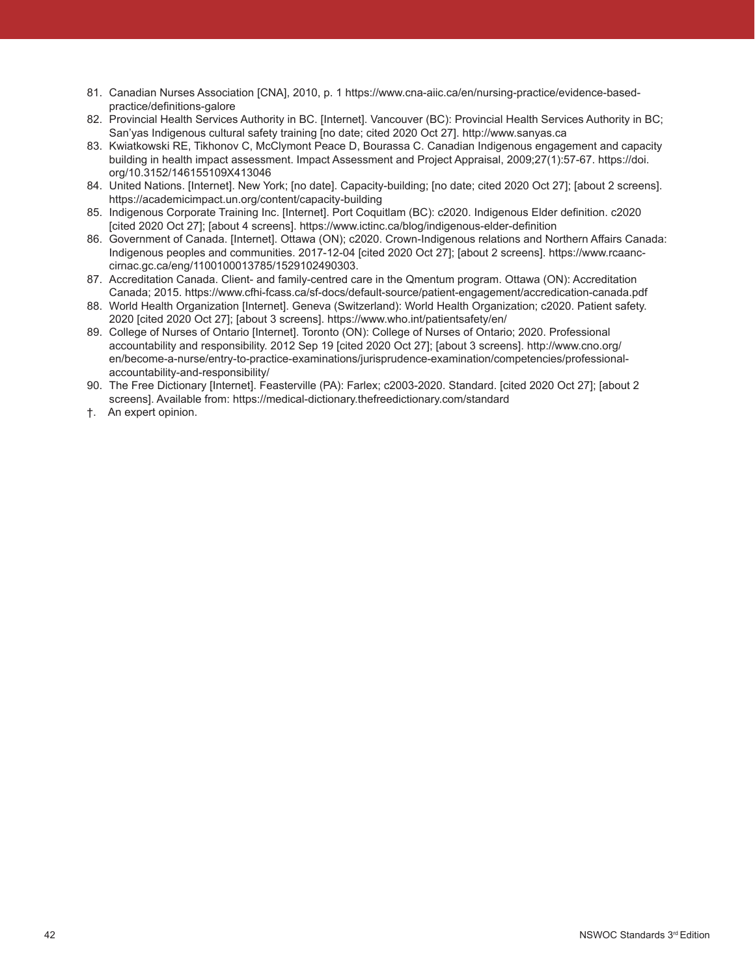- 81. Canadian Nurses Association [CNA], 2010, p. 1 https://www.cna-aiic.ca/en/nursing-practice/evidence-basedpractice/definitions-galore
- 82. Provincial Health Services Authority in BC. [Internet]. Vancouver (BC): Provincial Health Services Authority in BC; San'yas Indigenous cultural safety training [no date; cited 2020 Oct 27]. http://www.sanyas.ca
- 83. Kwiatkowski RE, Tikhonov C, McClymont Peace D, Bourassa C. Canadian Indigenous engagement and capacity building in health impact assessment. Impact Assessment and Project Appraisal, 2009;27(1):57-67. https://doi. org/10.3152/146155109X413046
- 84. United Nations. [Internet]. New York; [no date]. Capacity-building; [no date; cited 2020 Oct 27]; [about 2 screens]. https://academicimpact.un.org/content/capacity-building
- 85. Indigenous Corporate Training Inc. [Internet]. Port Coquitlam (BC): c2020. Indigenous Elder definition. c2020 [cited 2020 Oct 27]; [about 4 screens]. https://www.ictinc.ca/blog/indigenous-elder-definition
- 86. Government of Canada. [Internet]. Ottawa (ON); c2020. Crown-Indigenous relations and Northern Affairs Canada: Indigenous peoples and communities. 2017-12-04 [cited 2020 Oct 27]; [about 2 screens]. https://www.rcaanccirnac.gc.ca/eng/1100100013785/1529102490303.
- 87. Accreditation Canada. Client- and family-centred care in the Qmentum program. Ottawa (ON): Accreditation Canada; 2015. https://www.cfhi-fcass.ca/sf-docs/default-source/patient-engagement/accredication-canada.pdf
- 88. World Health Organization [Internet]. Geneva (Switzerland): World Health Organization; c2020. Patient safety. 2020 [cited 2020 Oct 27]; [about 3 screens]. https://www.who.int/patientsafety/en/
- 89. College of Nurses of Ontario [Internet]. Toronto (ON): College of Nurses of Ontario; 2020. Professional accountability and responsibility. 2012 Sep 19 [cited 2020 Oct 27]; [about 3 screens]. http://www.cno.org/ en/become-a-nurse/entry-to-practice-examinations/jurisprudence-examination/competencies/professionalaccountability-and-responsibility/
- 90. The Free Dictionary [Internet]. Feasterville (PA): Farlex; c2003-2020. Standard. [cited 2020 Oct 27]; [about 2 screens]. Available from: https://medical-dictionary.thefreedictionary.com/standard
- †. An expert opinion.